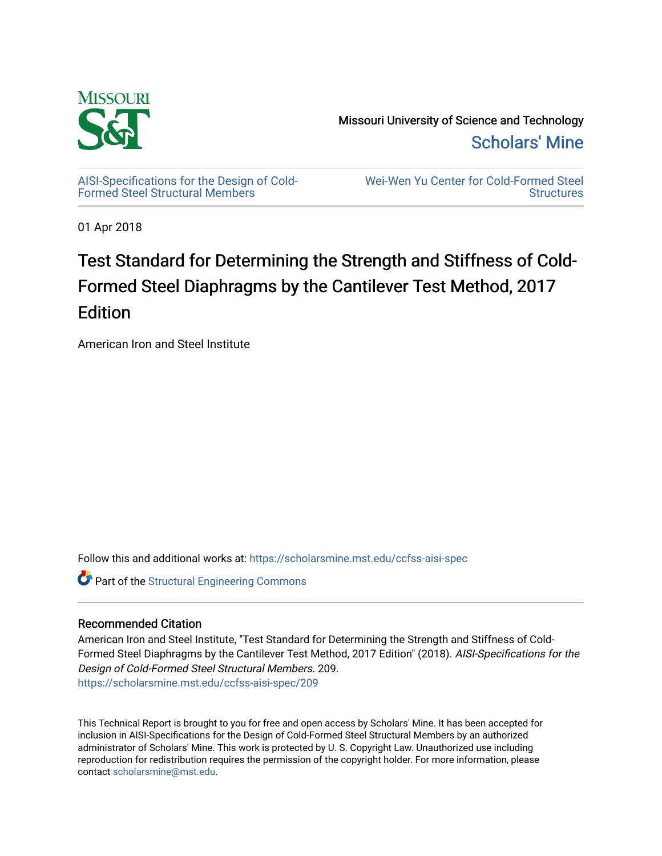

[AISI-Specifications for the Design of Cold-](https://scholarsmine.mst.edu/ccfss-aisi-spec)[Formed Steel Structural Members](https://scholarsmine.mst.edu/ccfss-aisi-spec)

[Wei-Wen Yu Center for Cold-Formed Steel](https://scholarsmine.mst.edu/ccfss)  **Structures** 

01 Apr 2018

## Test Standard for Determining the Strength and Stiffness of Cold-Formed Steel Diaphragms by the Cantilever Test Method, 2017 Edition

American Iron and Steel Institute

Follow this and additional works at: [https://scholarsmine.mst.edu/ccfss-aisi-spec](https://scholarsmine.mst.edu/ccfss-aisi-spec?utm_source=scholarsmine.mst.edu%2Fccfss-aisi-spec%2F209&utm_medium=PDF&utm_campaign=PDFCoverPages) 

**Part of the Structural Engineering Commons** 

## Recommended Citation

American Iron and Steel Institute, "Test Standard for Determining the Strength and Stiffness of Cold-Formed Steel Diaphragms by the Cantilever Test Method, 2017 Edition" (2018). AISI-Specifications for the Design of Cold-Formed Steel Structural Members. 209.

[https://scholarsmine.mst.edu/ccfss-aisi-spec/209](https://scholarsmine.mst.edu/ccfss-aisi-spec/209?utm_source=scholarsmine.mst.edu%2Fccfss-aisi-spec%2F209&utm_medium=PDF&utm_campaign=PDFCoverPages) 

This Technical Report is brought to you for free and open access by Scholars' Mine. It has been accepted for inclusion in AISI-Specifications for the Design of Cold-Formed Steel Structural Members by an authorized administrator of Scholars' Mine. This work is protected by U. S. Copyright Law. Unauthorized use including reproduction for redistribution requires the permission of the copyright holder. For more information, please contact [scholarsmine@mst.edu](mailto:scholarsmine@mst.edu).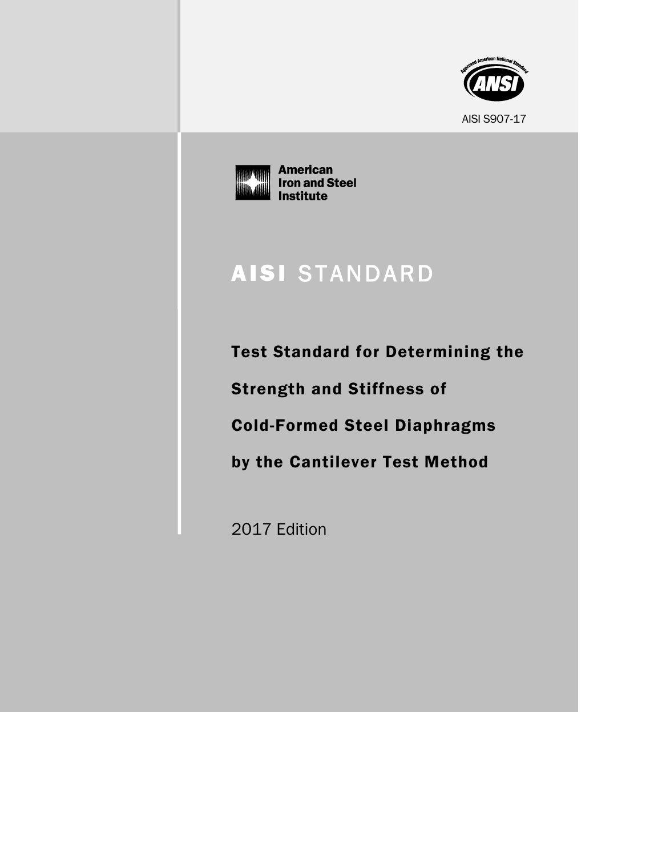



# **AISI** STANDARD

Test Standard for Determining the

Strength and Stiffness of

Cold-Formed Steel Diaphragms

by the Cantilever Test Method

2017 Edition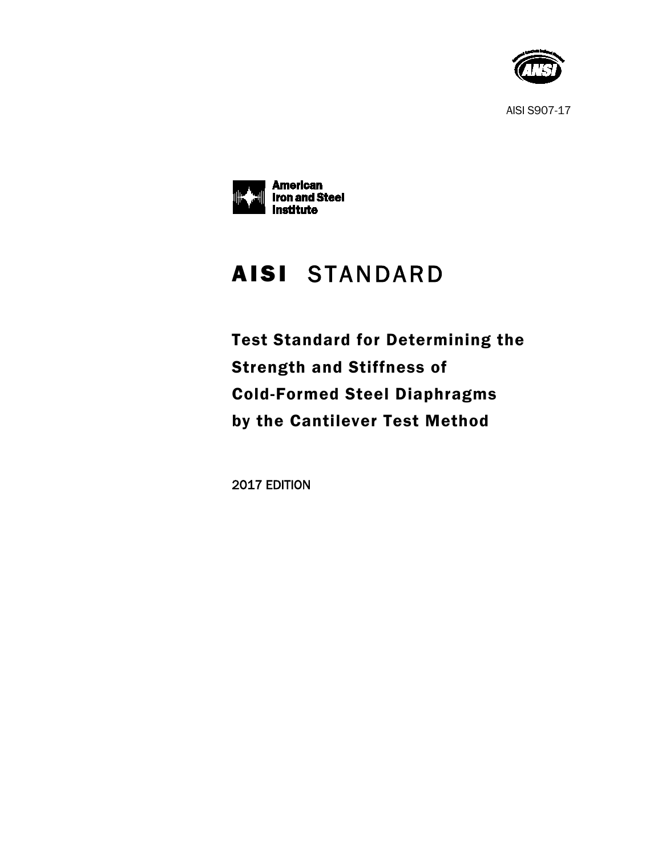

AISI S907-17



## AISI STANDARD

Test Standard for Determining the Strength and Stiffness of Cold-Formed Steel Diaphragms by the Cantilever Test Method

2017 EDITION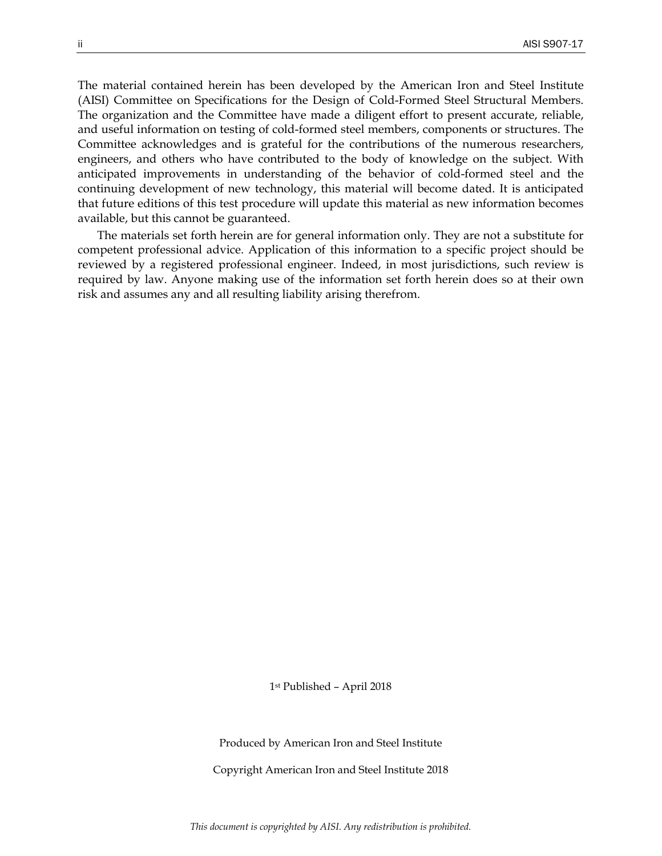The material contained herein has been developed by the American Iron and Steel Institute (AISI) Committee on Specifications for the Design of Cold-Formed Steel Structural Members. The organization and the Committee have made a diligent effort to present accurate, reliable, and useful information on testing of cold-formed steel members, components or structures. The Committee acknowledges and is grateful for the contributions of the numerous researchers, engineers, and others who have contributed to the body of knowledge on the subject. With anticipated improvements in understanding of the behavior of cold-formed steel and the continuing development of new technology, this material will become dated. It is anticipated that future editions of this test procedure will update this material as new information becomes available, but this cannot be guaranteed.

The materials set forth herein are for general information only. They are not a substitute for competent professional advice. Application of this information to a specific project should be reviewed by a registered professional engineer. Indeed, in most jurisdictions, such review is required by law. Anyone making use of the information set forth herein does so at their own risk and assumes any and all resulting liability arising therefrom.

1st Published – April 2018

Produced by American Iron and Steel Institute

Copyright American Iron and Steel Institute 2018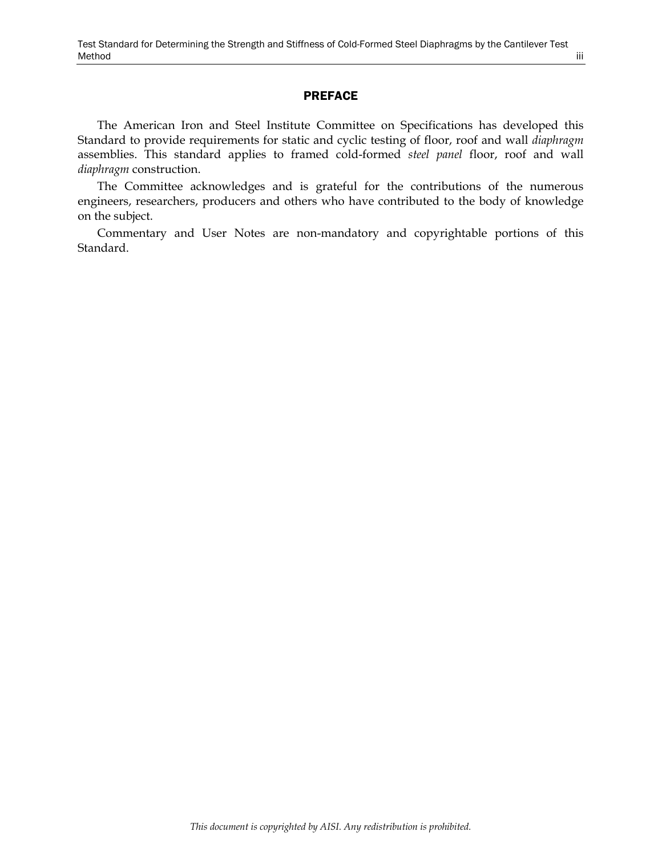#### PREFACE

The American Iron and Steel Institute Committee on Specifications has developed this Standard to provide requirements for static and cyclic testing of floor, roof and wall *diaphragm* assemblies. This standard applies to framed cold-formed *steel panel* floor, roof and wall *diaphragm* construction.

The Committee acknowledges and is grateful for the contributions of the numerous engineers, researchers, producers and others who have contributed to the body of knowledge on the subject.

Commentary and User Notes are non-mandatory and copyrightable portions of this Standard.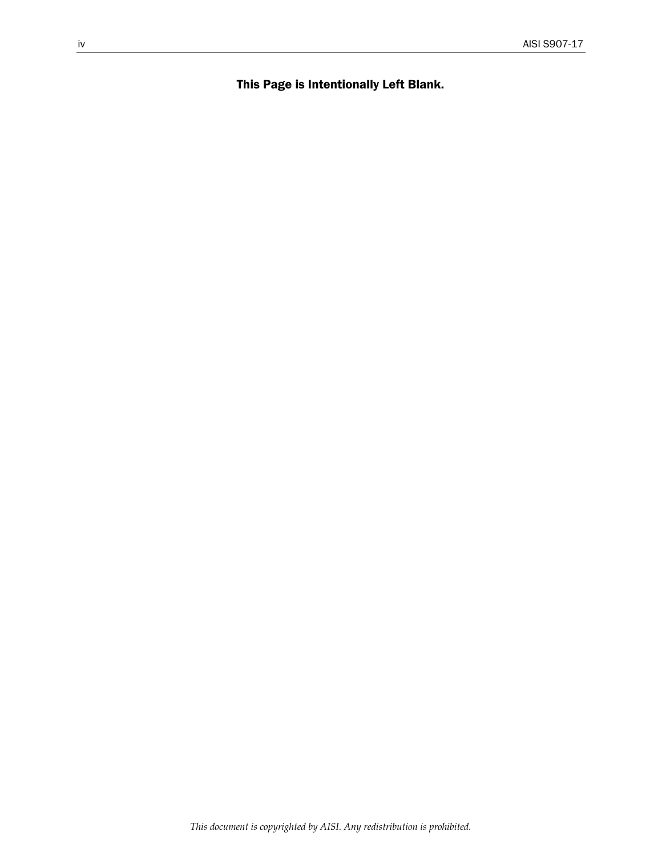This Page is Intentionally Left Blank.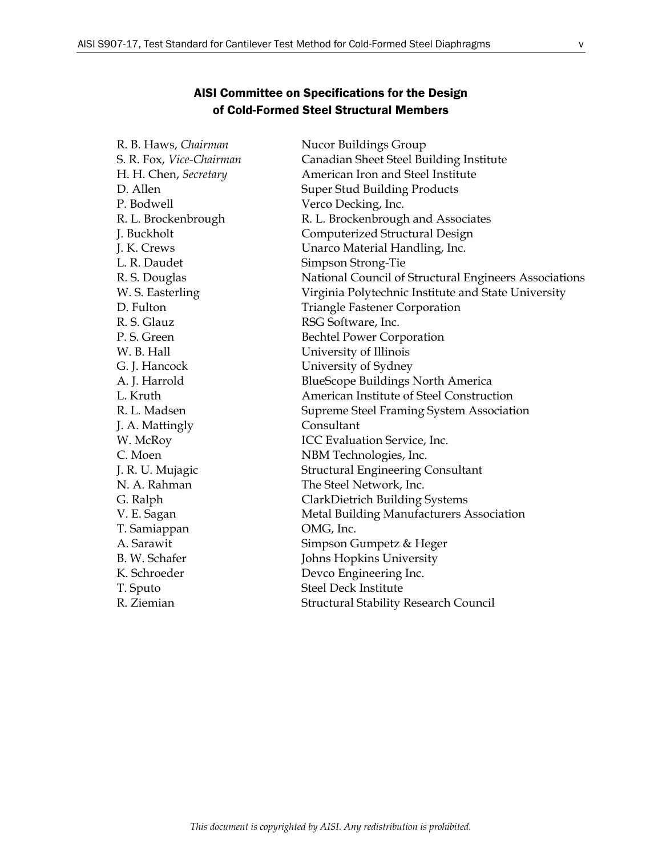## AISI Committee on Specifications for the Design of Cold-Formed Steel Structural Members

R. B. Haws, *Chairman* Nucor Buildings Group S. R. Fox, *Vice-Chairman* Canadian Sheet Steel Building Institute H. H. Chen, *Secretary* American Iron and Steel Institute D. Allen Super Stud Building Products P. Bodwell Verco Decking, Inc. R. L. Brockenbrough R. L. Brockenbrough and Associates J. Buckholt Computerized Structural Design J. K. Crews Unarco Material Handling, Inc. L. R. Daudet Simpson Strong-Tie R. S. Douglas **National Council of Structural Engineers Associations** W. S. Easterling The State University Virginia Polytechnic Institute and State University D. Fulton Triangle Fastener Corporation R. S. Glauz RSG Software, Inc. P. S. Green Bechtel Power Corporation W. B. Hall University of Illinois G. J. Hancock University of Sydney A. J. Harrold BlueScope Buildings North America L. Kruth American Institute of Steel Construction R. L. Madsen Supreme Steel Framing System Association J. A. Mattingly Consultant W. McRoy **ICC Evaluation Service**, Inc. C. Moen NBM Technologies, Inc. J. R. U. Mujagic Structural Engineering Consultant N. A. Rahman The Steel Network, Inc. G. Ralph ClarkDietrich Building Systems V. E. Sagan Metal Building Manufacturers Association T. Samiappan OMG, Inc. A. Sarawit Simpson Gumpetz & Heger B. W. Schafer Johns Hopkins University K. Schroeder Devco Engineering Inc. T. Sputo Steel Deck Institute R. Ziemian Structural Stability Research Council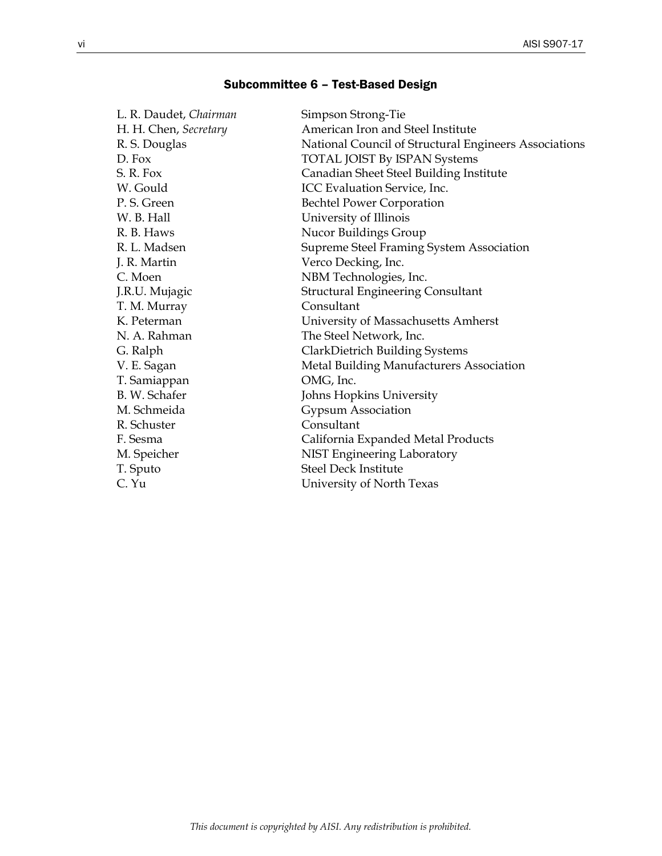## Subcommittee 6 – Test-Based Design

| L. R. Daudet, Chairman | Simpson Strong-Tie                                    |
|------------------------|-------------------------------------------------------|
| H. H. Chen, Secretary  | American Iron and Steel Institute                     |
| R. S. Douglas          | National Council of Structural Engineers Associations |
| D. Fox                 | TOTAL JOIST By ISPAN Systems                          |
| S. R. Fox              | Canadian Sheet Steel Building Institute               |
| W. Gould               | ICC Evaluation Service, Inc.                          |
| P. S. Green            | <b>Bechtel Power Corporation</b>                      |
| W. B. Hall             | University of Illinois                                |
| R. B. Haws             | Nucor Buildings Group                                 |
| R. L. Madsen           | Supreme Steel Framing System Association              |
| J. R. Martin           | Verco Decking, Inc.                                   |
| C. Moen                | NBM Technologies, Inc.                                |
| J.R.U. Mujagic         | <b>Structural Engineering Consultant</b>              |
| T. M. Murray           | Consultant                                            |
| K. Peterman            | University of Massachusetts Amherst                   |
| N. A. Rahman           | The Steel Network, Inc.                               |
| G. Ralph               | <b>ClarkDietrich Building Systems</b>                 |
| V. E. Sagan            | Metal Building Manufacturers Association              |
| T. Samiappan           | OMG, Inc.                                             |
| B. W. Schafer          | Johns Hopkins University                              |
| M. Schmeida            | <b>Gypsum Association</b>                             |
| R. Schuster            | Consultant                                            |
| F. Sesma               | California Expanded Metal Products                    |
| M. Speicher            | NIST Engineering Laboratory                           |
| T. Sputo               | <b>Steel Deck Institute</b>                           |
| C. Yu                  | University of North Texas                             |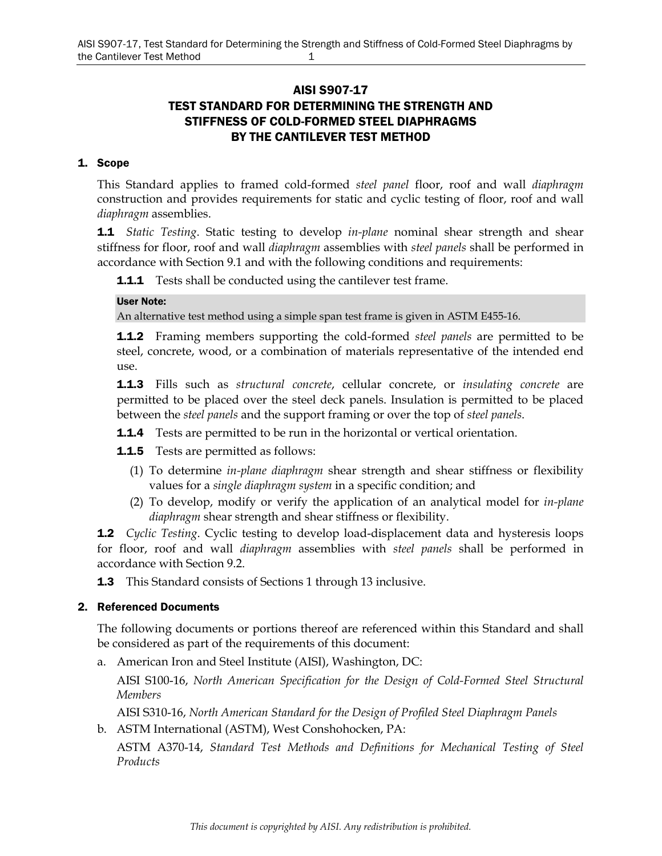## AISI S907-17 TEST STANDARD FOR DETERMINING THE STRENGTH AND STIFFNESS OF COLD-FORMED STEEL DIAPHRAGMS BY THE CANTILEVER TEST METHOD

## 1. Scope

This Standard applies to framed cold-formed *steel panel* floor, roof and wall *diaphragm* construction and provides requirements for static and cyclic testing of floor, roof and wall *diaphragm* assemblies.

1.1 *Static Testing*. Static testing to develop *in-plane* nominal shear strength and shear stiffness for floor, roof and wall *diaphragm* assemblies with *steel panels* shall be performed in accordance with Section 9.1 and with the following conditions and requirements:

**1.1.1** Tests shall be conducted using the cantilever test frame.

## User Note:

An alternative test method using a simple span test frame is given in ASTM E455-16.

1.1.2 Framing members supporting the cold-formed *steel panels* are permitted to be steel, concrete, wood, or a combination of materials representative of the intended end use.

1.1.3 Fills such as *structural concrete*, cellular concrete, or *insulating concrete* are permitted to be placed over the steel deck panels. Insulation is permitted to be placed between the *steel panels* and the support framing or over the top of *steel panels*.

**1.1.4** Tests are permitted to be run in the horizontal or vertical orientation.

**1.1.5** Tests are permitted as follows:

- (1) To determine *in-plane diaphragm* shear strength and shear stiffness or flexibility values for a *single diaphragm system* in a specific condition; and
- (2) To develop, modify or verify the application of an analytical model for *in-plane diaphragm* shear strength and shear stiffness or flexibility.

1.2 *Cyclic Testing*. Cyclic testing to develop load-displacement data and hysteresis loops for floor, roof and wall *diaphragm* assemblies with *steel panels* shall be performed in accordance with Section 9.2.

1.3 This Standard consists of Sections 1 through 13 inclusive.

## 2. Referenced Documents

The following documents or portions thereof are referenced within this Standard and shall be considered as part of the requirements of this document:

a. American Iron and Steel Institute (AISI), Washington, DC:

AISI S100-16, *North American Specification for the Design of Cold-Formed Steel Structural Members*

AISI S310-16, *North American Standard for the Design of Profiled Steel Diaphragm Panels*

b. ASTM International (ASTM), West Conshohocken, PA:

ASTM A370-14, *Standard Test Methods and Definitions for Mechanical Testing of Steel Products*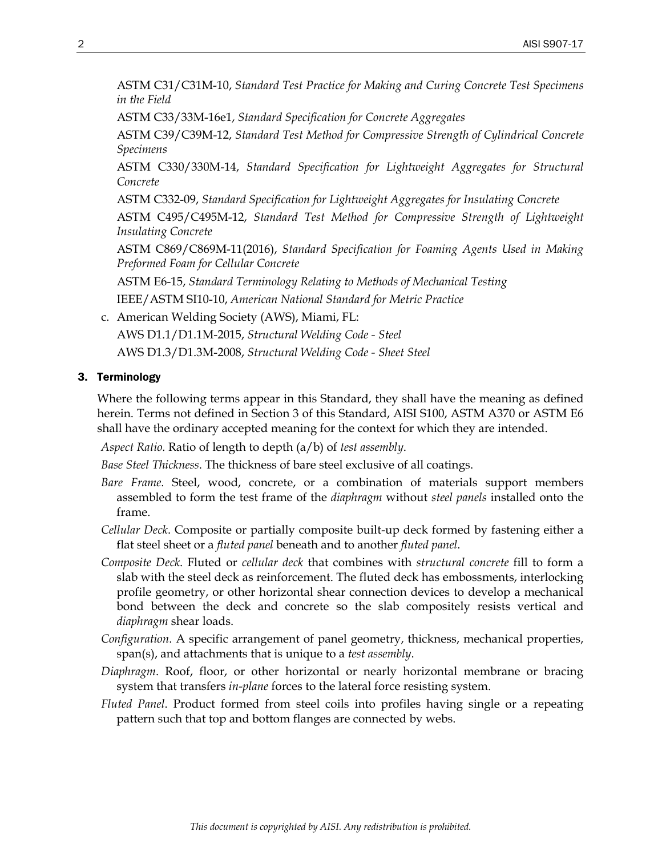ASTM C31/C31M-10, *Standard Test Practice for Making and Curing Concrete Test Specimens in the Field*

ASTM C33/33M-16e1, *Standard Specification for Concrete Aggregates*

ASTM C39/C39M-12, *Standard Test Method for Compressive Strength of Cylindrical Concrete Specimens*

ASTM C330/330M-14, *Standard Specification for Lightweight Aggregates for Structural Concrete*

ASTM C332-09, *Standard Specification for Lightweight Aggregates for Insulating Concrete*

ASTM C495/C495M-12, *Standard Test Method for Compressive Strength of Lightweight Insulating Concrete* 

ASTM C869/C869M-11(2016), *Standard Specification for Foaming Agents Used in Making Preformed Foam for Cellular Concrete*

ASTM E6-15, *Standard Terminology Relating to Methods of Mechanical Testing* IEEE/ASTM SI10-10, *American National Standard for Metric Practice*

c. American Welding Society (AWS), Miami, FL: AWS D1.1/D1.1M-2015, *Structural Welding Code - Steel* AWS D1.3/D1.3M-2008, *Structural Welding Code - Sheet Steel*

#### 3. Terminology

Where the following terms appear in this Standard, they shall have the meaning as defined herein. Terms not defined in Section 3 of this Standard, AISI S100, ASTM A370 or ASTM E6 shall have the ordinary accepted meaning for the context for which they are intended.

*Aspect Ratio.* Ratio of length to depth (a/b) of *test assembly*.

*Base Steel Thickness*. The thickness of bare steel exclusive of all coatings.

- *Bare Frame*. Steel, wood, concrete, or a combination of materials support members assembled to form the test frame of the *diaphragm* without *steel panels* installed onto the frame.
- *Cellular Deck*. Composite or partially composite built-up deck formed by fastening either a flat steel sheet or a *fluted panel* beneath and to another *fluted panel*.
- *Composite Deck*. Fluted or *cellular deck* that combines with *structural concrete* fill to form a slab with the steel deck as reinforcement. The fluted deck has embossments, interlocking profile geometry, or other horizontal shear connection devices to develop a mechanical bond between the deck and concrete so the slab compositely resists vertical and *diaphragm* shear loads.
- *Configuration*. A specific arrangement of panel geometry, thickness, mechanical properties, span(s), and attachments that is unique to a *test assembly*.
- *Diaphragm*. Roof, floor, or other horizontal or nearly horizontal membrane or bracing system that transfers *in-plane* forces to the lateral force resisting system.
- *Fluted Panel*. Product formed from steel coils into profiles having single or a repeating pattern such that top and bottom flanges are connected by webs.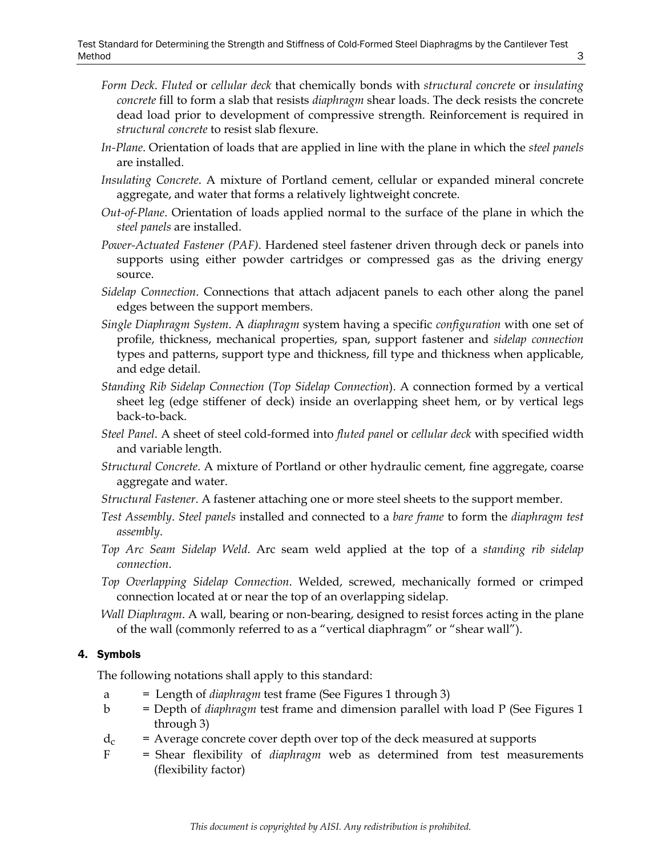- *Form Deck*. *Fluted* or *cellular deck* that chemically bonds with *structural concrete* or *insulating concrete* fill to form a slab that resists *diaphragm* shear loads. The deck resists the concrete dead load prior to development of compressive strength. Reinforcement is required in *structural concrete* to resist slab flexure.
- *In-Plane*. Orientation of loads that are applied in line with the plane in which the *steel panels* are installed.
- *Insulating Concrete*. A mixture of Portland cement, cellular or expanded mineral concrete aggregate, and water that forms a relatively lightweight concrete.
- *Out-of-Plane*. Orientation of loads applied normal to the surface of the plane in which the *steel panels* are installed.
- *Power-Actuated Fastener (PAF)*. Hardened steel fastener driven through deck or panels into supports using either powder cartridges or compressed gas as the driving energy source.
- *Sidelap Connection*. Connections that attach adjacent panels to each other along the panel edges between the support members.
- *Single Diaphragm System*. A *diaphragm* system having a specific *configuration* with one set of profile, thickness, mechanical properties, span, support fastener and *sidelap connection* types and patterns, support type and thickness, fill type and thickness when applicable, and edge detail.
- *Standing Rib Sidelap Connection* (*Top Sidelap Connection*). A connection formed by a vertical sheet leg (edge stiffener of deck) inside an overlapping sheet hem, or by vertical legs back-to-back.
- *Steel Panel*. A sheet of steel cold-formed into *fluted panel* or *cellular deck* with specified width and variable length.
- *Structural Concrete*. A mixture of Portland or other hydraulic cement, fine aggregate, coarse aggregate and water.
- *Structural Fastener*. A fastener attaching one or more steel sheets to the support member.
- *Test Assembly*. *Steel panels* installed and connected to a *bare frame* to form the *diaphragm test assembly*.
- *Top Arc Seam Sidelap Weld*. Arc seam weld applied at the top of a *standing rib sidelap connection*.
- *Top Overlapping Sidelap Connection*. Welded, screwed, mechanically formed or crimped connection located at or near the top of an overlapping sidelap.
- *Wall Diaphragm*. A wall, bearing or non-bearing, designed to resist forces acting in the plane of the wall (commonly referred to as a "vertical diaphragm" or "shear wall").

## 4. Symbols

The following notations shall apply to this standard:

- a = Length of *diaphragm* test frame (See Figures 1 through 3)
- b = Depth of *diaphragm* test frame and dimension parallel with load P (See Figures 1 through 3)
- $d_c$  = Average concrete cover depth over top of the deck measured at supports
- F = Shear flexibility of *diaphragm* web as determined from test measurements (flexibility factor)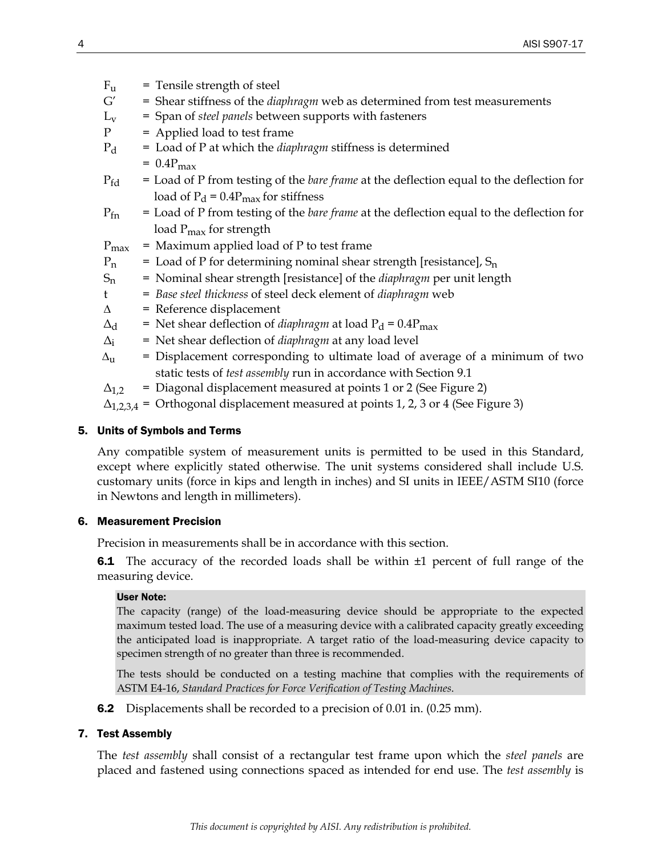| $F_{u}$               | = Tensile strength of steel                                                                     |
|-----------------------|-------------------------------------------------------------------------------------------------|
| G'                    | = Shear stiffness of the <i>diaphragm</i> web as determined from test measurements              |
| $L_{\rm V}$           | = Span of <i>steel panels</i> between supports with fasteners                                   |
| $\mathbf{P}$          | = Applied load to test frame                                                                    |
| $P_d$                 | = Load of P at which the <i>diaphragm</i> stiffness is determined                               |
|                       | $= 0.4 P_{max}$                                                                                 |
| $P_{\rm fd}$          | = Load of P from testing of the <i>bare frame</i> at the deflection equal to the deflection for |
|                       | load of $P_d = 0.4P_{max}$ for stiffness                                                        |
| $P_{fn}$              | = Load of P from testing of the <i>bare frame</i> at the deflection equal to the deflection for |
|                       | load $P_{\text{max}}$ for strength                                                              |
| $P_{\text{max}}$      | $=$ Maximum applied load of P to test frame                                                     |
| $P_n$                 | = Load of P for determining nominal shear strength [resistance], $S_n$                          |
| $S_n$                 | = Nominal shear strength [resistance] of the <i>diaphragm</i> per unit length                   |
| t                     | = Base steel thickness of steel deck element of diaphragm web                                   |
| Δ                     | = Reference displacement                                                                        |
| $\Delta_{\text{d}}$   | = Net shear deflection of <i>diaphragm</i> at load $P_d = 0.4P_{max}$                           |
| $\Delta_{\rm i}$      | = Net shear deflection of <i>diaphragm</i> at any load level                                    |
| $\Delta_{\mathbf{u}}$ | = Displacement corresponding to ultimate load of average of a minimum of two                    |

- static tests of *test assembly* run in accordance with Section 9.1
- $\Delta_{1,2}$  = Diagonal displacement measured at points 1 or 2 (See Figure 2)

 $\Delta_{1,2,3,4}$  = Orthogonal displacement measured at points 1, 2, 3 or 4 (See Figure 3)

## 5. Units of Symbols and Terms

Any compatible system of measurement units is permitted to be used in this Standard, except where explicitly stated otherwise. The unit systems considered shall include U.S. customary units (force in kips and length in inches) and SI units in IEEE/ASTM SI10 (force in Newtons and length in millimeters).

## 6. Measurement Precision

Precision in measurements shall be in accordance with this section.

**6.1** The accuracy of the recorded loads shall be within  $\pm 1$  percent of full range of the measuring device.

#### User Note:

The capacity (range) of the load-measuring device should be appropriate to the expected maximum tested load. The use of a measuring device with a calibrated capacity greatly exceeding the anticipated load is inappropriate. A target ratio of the load-measuring device capacity to specimen strength of no greater than three is recommended.

The tests should be conducted on a testing machine that complies with the requirements of ASTM E4-16, *Standard Practices for Force Verification of Testing Machines*.

**6.2** Displacements shall be recorded to a precision of 0.01 in. (0.25 mm).

## 7. Test Assembly

The *test assembly* shall consist of a rectangular test frame upon which the *steel panels* are placed and fastened using connections spaced as intended for end use. The *test assembly* is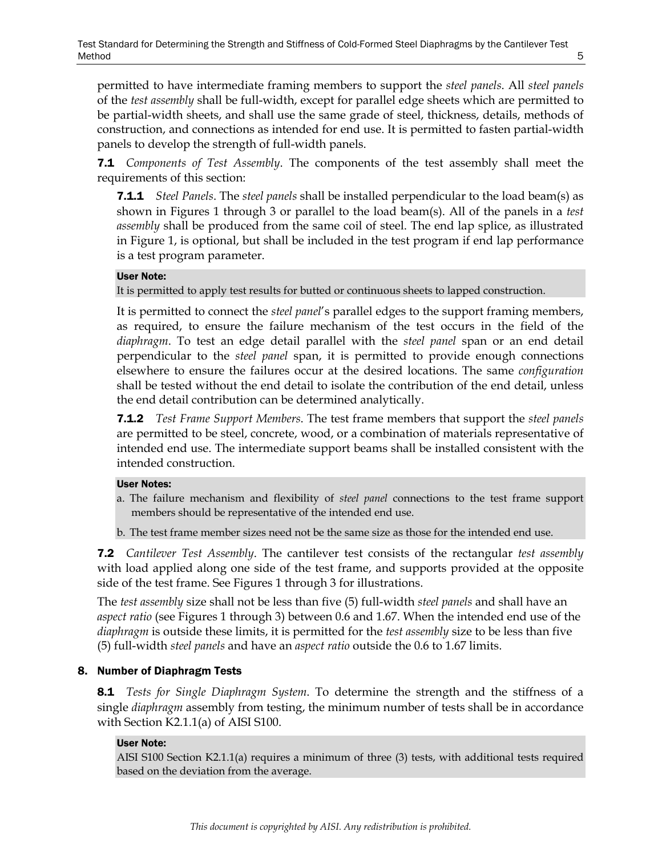permitted to have intermediate framing members to support the *steel panels*. All *steel panels* of the *test assembly* shall be full-width, except for parallel edge sheets which are permitted to be partial-width sheets, and shall use the same grade of steel, thickness, details, methods of construction, and connections as intended for end use. It is permitted to fasten partial-width panels to develop the strength of full-width panels.

7.1 *Components of Test Assembly*. The components of the test assembly shall meet the requirements of this section:

7.1.1 *Steel Panels*. The *steel panels* shall be installed perpendicular to the load beam(s) as shown in Figures 1 through 3 or parallel to the load beam(s). All of the panels in a *test assembly* shall be produced from the same coil of steel. The end lap splice, as illustrated in Figure 1, is optional, but shall be included in the test program if end lap performance is a test program parameter.

## User Note:

It is permitted to apply test results for butted or continuous sheets to lapped construction.

It is permitted to connect the *steel panel*'s parallel edges to the support framing members, as required, to ensure the failure mechanism of the test occurs in the field of the *diaphragm*. To test an edge detail parallel with the *steel panel* span or an end detail perpendicular to the *steel panel* span, it is permitted to provide enough connections elsewhere to ensure the failures occur at the desired locations. The same *configuration* shall be tested without the end detail to isolate the contribution of the end detail, unless the end detail contribution can be determined analytically.

7.1.2 *Test Frame Support Members*. The test frame members that support the *steel panels* are permitted to be steel, concrete, wood, or a combination of materials representative of intended end use. The intermediate support beams shall be installed consistent with the intended construction.

## User Notes:

- a. The failure mechanism and flexibility of *steel panel* connections to the test frame support members should be representative of the intended end use.
- b. The test frame member sizes need not be the same size as those for the intended end use.

7.2 *Cantilever Test Assembly*. The cantilever test consists of the rectangular *test assembly* with load applied along one side of the test frame, and supports provided at the opposite side of the test frame. See Figures 1 through 3 for illustrations.

The *test assembly* size shall not be less than five (5) full-width *steel panels* and shall have an *aspect ratio* (see Figures 1 through 3) between 0.6 and 1.67. When the intended end use of the *diaphragm* is outside these limits, it is permitted for the *test assembly* size to be less than five (5) full-width *steel panels* and have an *aspect ratio* outside the 0.6 to 1.67 limits.

## 8. Number of Diaphragm Tests

8.1 *Tests for Single Diaphragm System*. To determine the strength and the stiffness of a single *diaphragm* assembly from testing, the minimum number of tests shall be in accordance with Section K2.1.1(a) of AISI S100.

## User Note:

AISI S100 Section K2.1.1(a) requires a minimum of three (3) tests, with additional tests required based on the deviation from the average.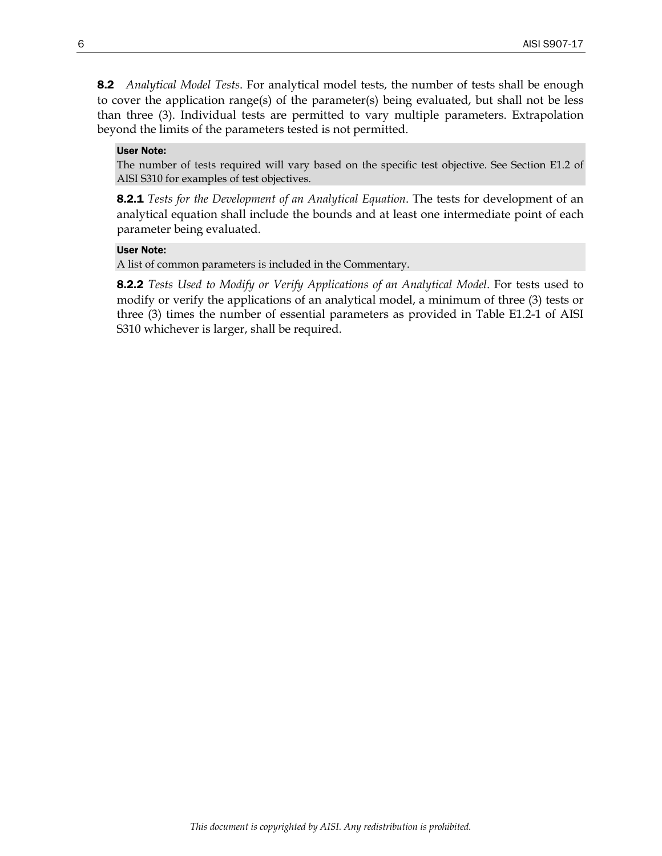8.2 *Analytical Model Tests*. For analytical model tests, the number of tests shall be enough to cover the application range(s) of the parameter(s) being evaluated, but shall not be less than three (3). Individual tests are permitted to vary multiple parameters. Extrapolation beyond the limits of the parameters tested is not permitted.

#### User Note:

The number of tests required will vary based on the specific test objective. See Section E1.2 of AISI S310 for examples of test objectives.

8.2.1 *Tests for the Development of an Analytical Equation*. The tests for development of an analytical equation shall include the bounds and at least one intermediate point of each parameter being evaluated.

#### User Note:

A list of common parameters is included in the Commentary.

8.2.2 *Tests Used to Modify or Verify Applications of an Analytical Model*. For tests used to modify or verify the applications of an analytical model, a minimum of three (3) tests or three (3) times the number of essential parameters as provided in Table E1.2-1 of AISI S310 whichever is larger, shall be required.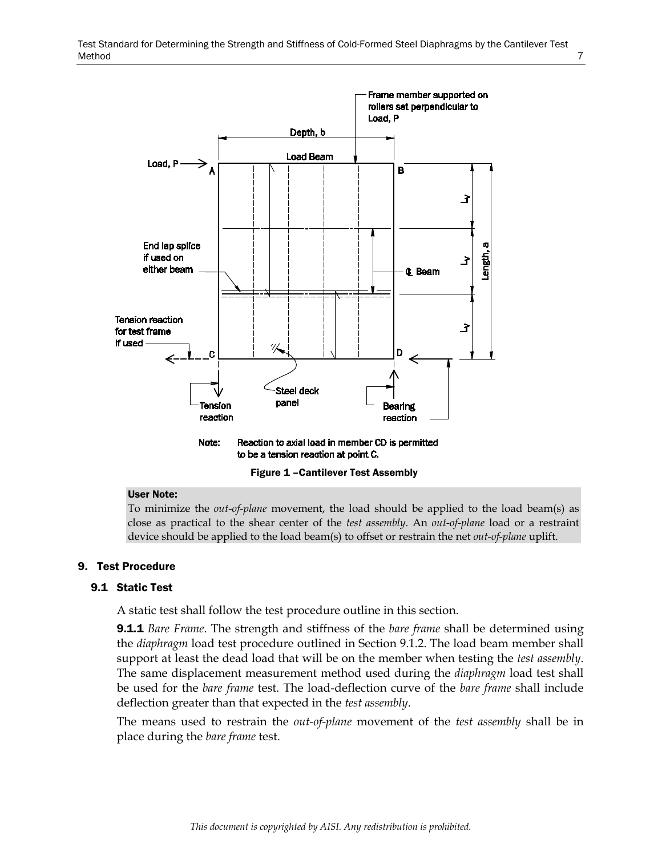

Figure 1 –Cantilever Test Assembly

#### User Note:

To minimize the *out-of-plane* movement, the load should be applied to the load beam(s) as close as practical to the shear center of the *test assembly*. An *out-of-plane* load or a restraint device should be applied to the load beam(s) to offset or restrain the net *out-of-plane* uplift.

#### 9. Test Procedure

#### 9.1 Static Test

A static test shall follow the test procedure outline in this section.

9.1.1 *Bare Frame*. The strength and stiffness of the *bare frame* shall be determined using the *diaphragm* load test procedure outlined in Section 9.1.2. The load beam member shall support at least the dead load that will be on the member when testing the *test assembly*. The same displacement measurement method used during the *diaphragm* load test shall be used for the *bare frame* test. The load-deflection curve of the *bare frame* shall include deflection greater than that expected in the *test assembly*.

The means used to restrain the *out-of-plane* movement of the *test assembly* shall be in place during the *bare frame* test.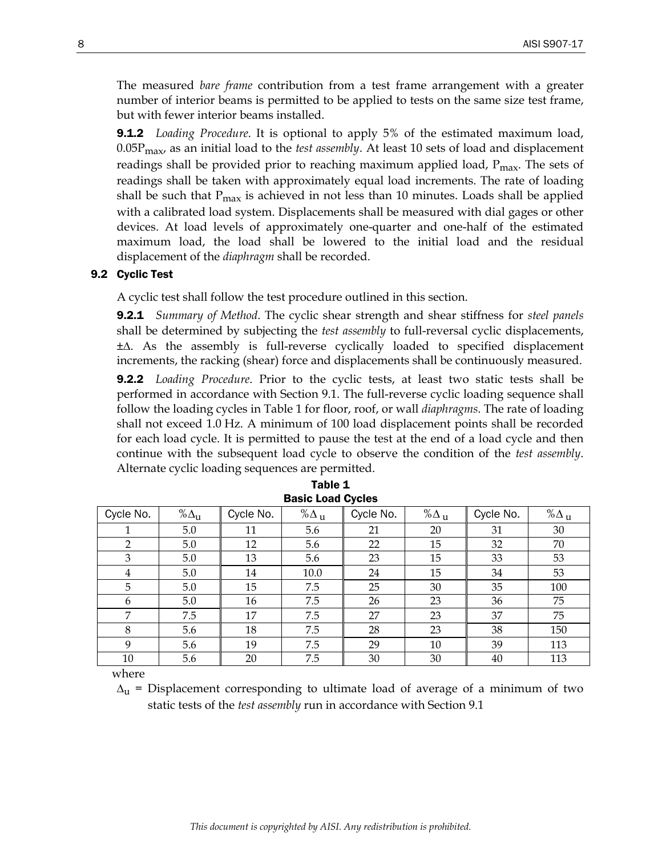The measured *bare frame* contribution from a test frame arrangement with a greater number of interior beams is permitted to be applied to tests on the same size test frame, but with fewer interior beams installed.

9.1.2 *Loading Procedure*. It is optional to apply 5% of the estimated maximum load, 0.05Pmax, as an initial load to the *test assembly*. At least 10 sets of load and displacement readings shall be provided prior to reaching maximum applied load,  $P_{\text{max}}$ . The sets of readings shall be taken with approximately equal load increments. The rate of loading shall be such that  $P_{\text{max}}$  is achieved in not less than 10 minutes. Loads shall be applied with a calibrated load system. Displacements shall be measured with dial gages or other devices. At load levels of approximately one-quarter and one-half of the estimated maximum load, the load shall be lowered to the initial load and the residual displacement of the *diaphragm* shall be recorded.

#### 9.2 Cyclic Test

A cyclic test shall follow the test procedure outlined in this section.

9.2.1 *Summary of Method*. The cyclic shear strength and shear stiffness for *steel panels* shall be determined by subjecting the *test assembly* to full-reversal cyclic displacements, ±∆. As the assembly is full-reverse cyclically loaded to specified displacement increments, the racking (shear) force and displacements shall be continuously measured.

9.2.2 *Loading Procedure*. Prior to the cyclic tests, at least two static tests shall be performed in accordance with Section 9.1. The full-reverse cyclic loading sequence shall follow the loading cycles in Table 1 for floor, roof, or wall *diaphragms*. The rate of loading shall not exceed 1.0 Hz. A minimum of 100 load displacement points shall be recorded for each load cycle. It is permitted to pause the test at the end of a load cycle and then continue with the subsequent load cycle to observe the condition of the *test assembly*. Alternate cyclic loading sequences are permitted.

| Cycle No. | $\% \Delta_u$ | Cycle No. | % $\Delta$ <sub>u</sub> | Cycle No. | % $\Delta$ <sub>u</sub> | Cycle No. | % $\Delta$ <sub>u</sub> |
|-----------|---------------|-----------|-------------------------|-----------|-------------------------|-----------|-------------------------|
|           | 5.0           | 11        | 5.6                     | 21        | 20                      | 31        | 30                      |
| 2         | 5.0           | 12        | 5.6                     | 22        | 15                      | 32        | 70                      |
| 3         | 5.0           | 13        | 5.6                     | 23        | 15                      | 33        | 53                      |
| 4         | 5.0           | 14        | 10.0                    | 24        | 15                      | 34        | 53                      |
| 5         | 5.0           | 15        | 7.5                     | 25        | 30                      | 35        | 100                     |
| 6         | 5.0           | 16        | 7.5                     | 26        | 23                      | 36        | 75                      |
| 7         | 7.5           | 17        | 7.5                     | 27        | 23                      | 37        | 75                      |
| 8         | 5.6           | 18        | 7.5                     | 28        | 23                      | 38        | 150                     |
| 9         | 5.6           | 19        | 7.5                     | 29        | 10                      | 39        | 113                     |
| 10        | 5.6           | 20        | 7.5                     | 30        | 30                      | 40        | 113                     |

| Table 1 |  |                          |  |  |  |  |
|---------|--|--------------------------|--|--|--|--|
|         |  | <b>Basic Load Cycles</b> |  |  |  |  |

where

 $\Delta$ <sub>u</sub> = Displacement corresponding to ultimate load of average of a minimum of two static tests of the *test assembly* run in accordance with Section 9.1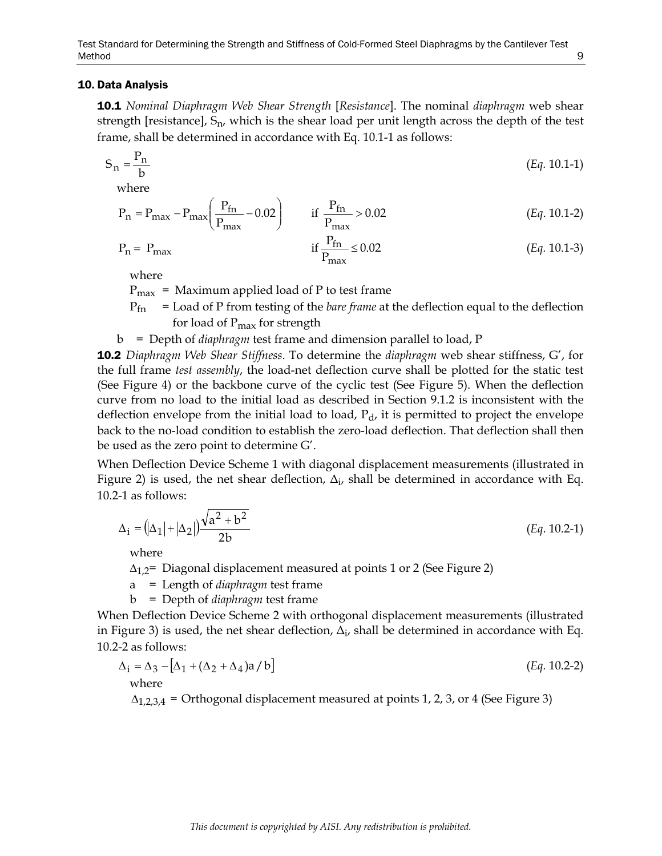#### 10. Data Analysis

10.1 *Nominal Diaphragm Web Shear Strength* [*Resistance*]. The nominal *diaphragm* web shear strength [resistance],  $S_{n}$ , which is the shear load per unit length across the depth of the test frame, shall be determined in accordance with Eq. 10.1-1 as follows:

$$
S_n = \frac{P_n}{b} \tag{Eq. 10.1-1}
$$

where

$$
P_n = P_{\text{max}} - P_{\text{max}} \left( \frac{P_{\text{fn}}}{P_{\text{max}}} - 0.02 \right) \qquad \text{if } \frac{P_{\text{fn}}}{P_{\text{max}}} > 0.02 \tag{Eq. 10.1-2}
$$

$$
P_n = P_{\text{max}} \qquad \qquad \text{if } \frac{P_{\text{fn}}}{P_{\text{max}}} \le 0.02 \qquad (Eq. 10.1-3)
$$

where

 $P_{\text{max}}$  = Maximum applied load of P to test frame

- Pfn = Load of P from testing of the *bare frame* at the deflection equal to the deflection for load of  $P_{\text{max}}$  for strength
- b = Depth of *diaphragm* test frame and dimension parallel to load, P

10.2 *Diaphragm Web Shear Stiffness*. To determine the *diaphragm* web shear stiffness, G', for the full frame *test assembly*, the load-net deflection curve shall be plotted for the static test (See Figure 4) or the backbone curve of the cyclic test (See Figure 5). When the deflection curve from no load to the initial load as described in Section 9.1.2 is inconsistent with the deflection envelope from the initial load to load,  $P_d$ , it is permitted to project the envelope back to the no-load condition to establish the zero-load deflection. That deflection shall then be used as the zero point to determine G'.

When Deflection Device Scheme 1 with diagonal displacement measurements (illustrated in Figure 2) is used, the net shear deflection,  $\Delta_i$ , shall be determined in accordance with Eq. 10.2-1 as follows:

$$
\Delta_{i} = (\Delta_{1}|+|\Delta_{2}|)\frac{\sqrt{a^{2}+b^{2}}}{2b}
$$
 (*Eq*. 10.2-1)

where

 $\Delta_{1,2}$ = Diagonal displacement measured at points 1 or 2 (See Figure 2)

a = Length of *diaphragm* test frame

b = Depth of *diaphragm* test frame

When Deflection Device Scheme 2 with orthogonal displacement measurements (illustrated in Figure 3) is used, the net shear deflection,  $\Delta_i$ , shall be determined in accordance with Eq. 10.2-2 as follows:

$$
\Delta_{\mathbf{i}} = \Delta_{\mathbf{3}} - [\Delta_{\mathbf{1}} + (\Delta_{\mathbf{2}} + \Delta_{\mathbf{4}})a / b] \tag{Eq. 10.2-2}
$$
 where

 $\Delta_{1,2,3,4}$  = Orthogonal displacement measured at points 1, 2, 3, or 4 (See Figure 3)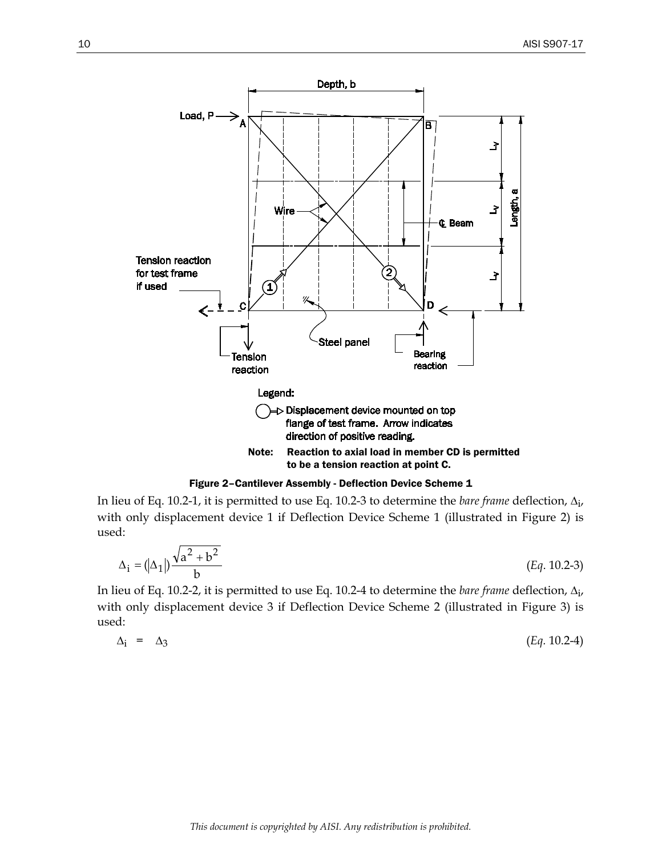



In lieu of Eq. 10.2-1, it is permitted to use Eq. 10.2-3 to determine the *bare frame* deflection, ∆i, with only displacement device 1 if Deflection Device Scheme 1 (illustrated in Figure 2) is used:

$$
\Delta_{i} = (|\Delta_{1}|) \frac{\sqrt{a^{2} + b^{2}}}{b}
$$
 (Eq. 10.2-3)

In lieu of Eq. 10.2-2, it is permitted to use Eq. 10.2-4 to determine the *bare frame* deflection, ∆i, with only displacement device 3 if Deflection Device Scheme 2 (illustrated in Figure 3) is used:

$$
\Delta_{i} = \Delta_{3} \tag{Eq. 10.2-4}
$$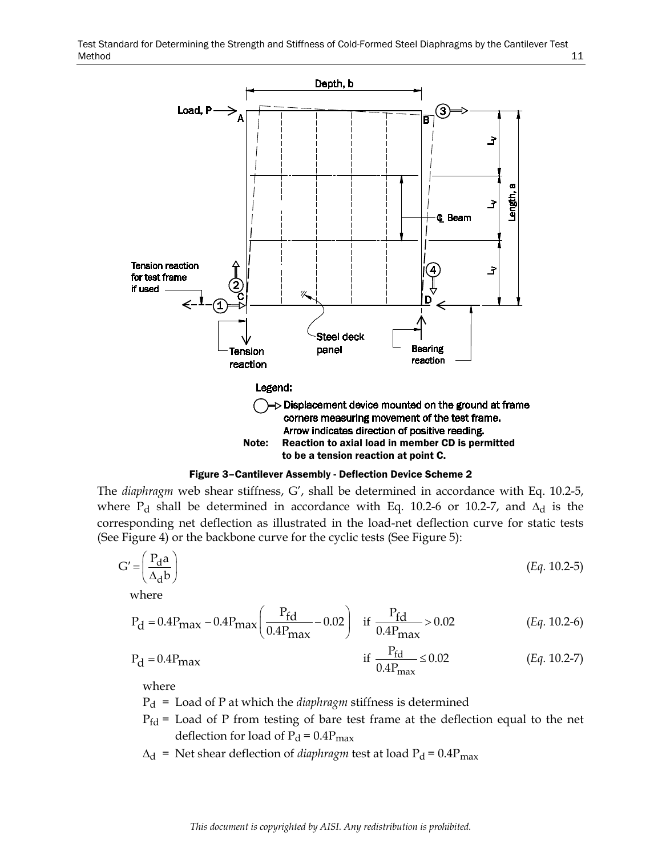

Figure 3–Cantilever Assembly - Deflection Device Scheme 2

The *diaphragm* web shear stiffness, G', shall be determined in accordance with Eq. 10.2-5, where P<sub>d</sub> shall be determined in accordance with Eq. 10.2-6 or 10.2-7, and  $\Delta_d$  is the corresponding net deflection as illustrated in the load-net deflection curve for static tests (See Figure 4) or the backbone curve for the cyclic tests (See Figure 5):

$$
G' = \left(\frac{P_d a}{\Delta_d b}\right) \tag{Eq. 10.2-5}
$$

where

$$
P_{d} = 0.4P_{\text{max}} - 0.4P_{\text{max}} \left( \frac{P_{fd}}{0.4P_{\text{max}}} - 0.02 \right) \text{ if } \frac{P_{fd}}{0.4P_{\text{max}}} > 0.02 \qquad (Eq. 10.2-6)
$$

$$
P_{\rm d} = 0.4 P_{\rm max}
$$
 if  $\frac{P_{\rm fd}}{0.4 P_{\rm max}} \le 0.02$  (*Eq*. 10.2-7)

where

- Pd = Load of P at which the *diaphragm* stiffness is determined
- $P_{\text{fd}}$  = Load of P from testing of bare test frame at the deflection equal to the net deflection for load of  $P_d = 0.4P_{max}$
- $\Delta_d$  = Net shear deflection of *diaphragm* test at load P<sub>d</sub> = 0.4P<sub>max</sub>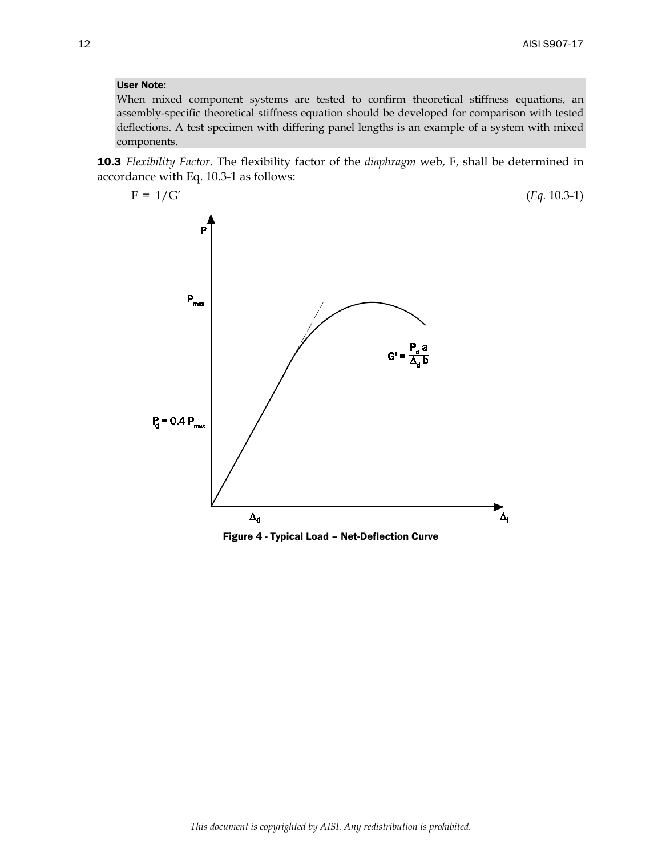## User Note:

When mixed component systems are tested to confirm theoretical stiffness equations, an assembly-specific theoretical stiffness equation should be developed for comparison with tested deflections. A test specimen with differing panel lengths is an example of a system with mixed components.

10.3 *Flexibility Factor*. The flexibility factor of the *diaphragm* web, F, shall be determined in accordance with Eq. 10.3-1 as follows:



Figure 4 - Typical Load – Net-Deflection Curve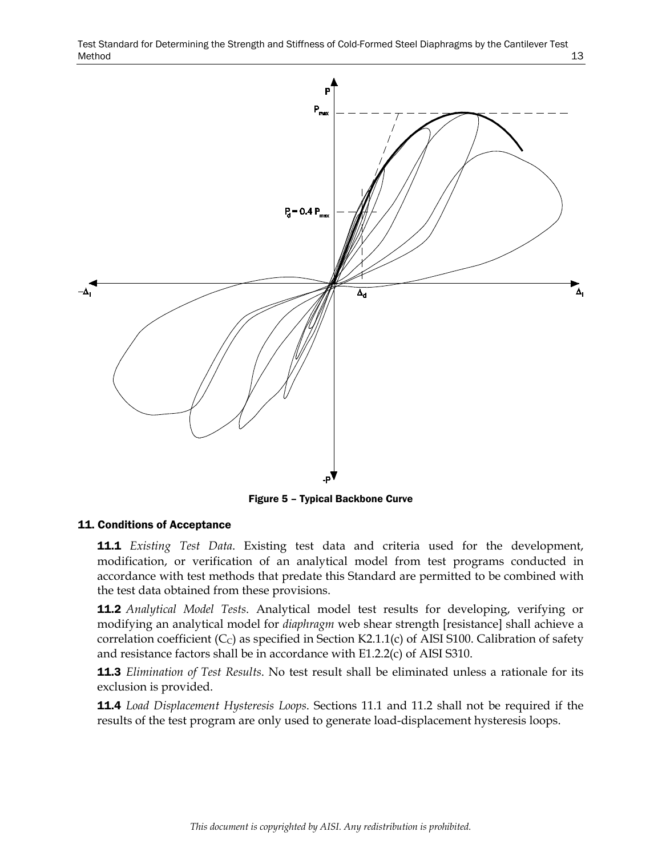



Figure 5 – Typical Backbone Curve

#### 11. Conditions of Acceptance

11.1 *Existing Test Data*. Existing test data and criteria used for the development, modification, or verification of an analytical model from test programs conducted in accordance with test methods that predate this Standard are permitted to be combined with the test data obtained from these provisions.

11.2 *Analytical Model Tests*. Analytical model test results for developing, verifying or modifying an analytical model for *diaphragm* web shear strength [resistance] shall achieve a correlation coefficient ( $C<sub>C</sub>$ ) as specified in Section K2.1.1(c) of AISI S100. Calibration of safety and resistance factors shall be in accordance with E1.2.2(c) of AISI S310.

11.3 *Elimination of Test Results*. No test result shall be eliminated unless a rationale for its exclusion is provided.

11.4 *Load Displacement Hysteresis Loops*. Sections 11.1 and 11.2 shall not be required if the results of the test program are only used to generate load-displacement hysteresis loops.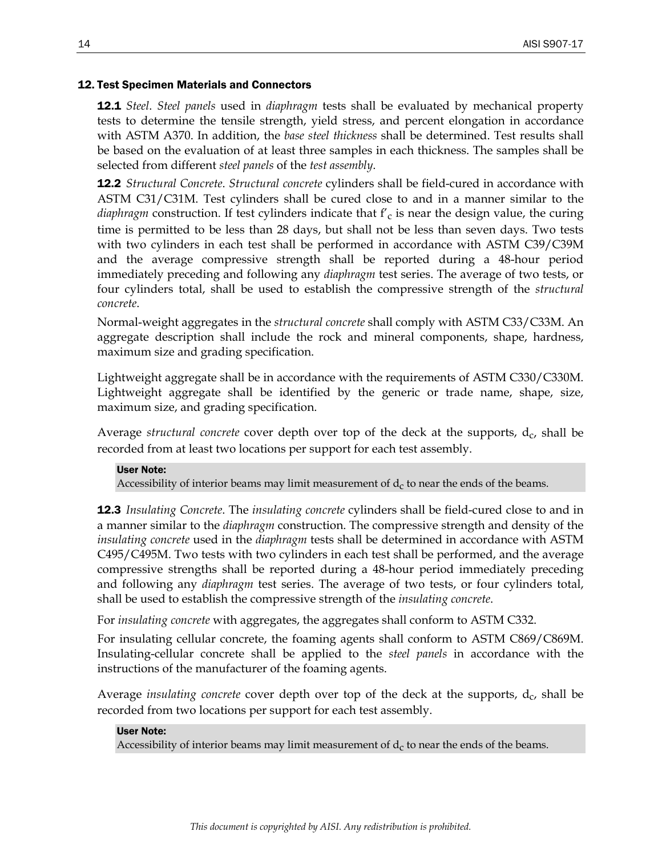#### 12. Test Specimen Materials and Connectors

12.1 *Steel*. *Steel panels* used in *diaphragm* tests shall be evaluated by mechanical property tests to determine the tensile strength, yield stress, and percent elongation in accordance with ASTM A370. In addition, the *base steel thickness* shall be determined. Test results shall be based on the evaluation of at least three samples in each thickness. The samples shall be selected from different *steel panels* of the *test assembly*.

12.2 *Structural Concrete*. *Structural concrete* cylinders shall be field-cured in accordance with ASTM C31/C31M. Test cylinders shall be cured close to and in a manner similar to the *diaphragm* construction. If test cylinders indicate that f'c is near the design value, the curing time is permitted to be less than 28 days, but shall not be less than seven days. Two tests with two cylinders in each test shall be performed in accordance with ASTM C39/C39M and the average compressive strength shall be reported during a 48-hour period immediately preceding and following any *diaphragm* test series. The average of two tests, or four cylinders total, shall be used to establish the compressive strength of the *structural concrete*.

Normal-weight aggregates in the *structural concrete* shall comply with ASTM C33/C33M. An aggregate description shall include the rock and mineral components, shape, hardness, maximum size and grading specification.

Lightweight aggregate shall be in accordance with the requirements of ASTM C330/C330M. Lightweight aggregate shall be identified by the generic or trade name, shape, size, maximum size, and grading specification.

Average *structural concrete* cover depth over top of the deck at the supports, d<sub>c</sub>, shall be recorded from at least two locations per support for each test assembly.

User Note: Accessibility of interior beams may limit measurement of  $d<sub>c</sub>$  to near the ends of the beams.

12.3 *Insulating Concrete*. The *insulating concrete* cylinders shall be field-cured close to and in a manner similar to the *diaphragm* construction. The compressive strength and density of the *insulating concrete* used in the *diaphragm* tests shall be determined in accordance with ASTM C495/C495M. Two tests with two cylinders in each test shall be performed, and the average compressive strengths shall be reported during a 48-hour period immediately preceding and following any *diaphragm* test series. The average of two tests, or four cylinders total, shall be used to establish the compressive strength of the *insulating concrete*.

For *insulating concrete* with aggregates, the aggregates shall conform to ASTM C332.

For insulating cellular concrete, the foaming agents shall conform to ASTM C869/C869M. Insulating-cellular concrete shall be applied to the *steel panels* in accordance with the instructions of the manufacturer of the foaming agents.

Average *insulating concrete* cover depth over top of the deck at the supports, d<sub>c</sub>, shall be recorded from two locations per support for each test assembly.

#### User Note:

Accessibility of interior beams may limit measurement of  $d_c$  to near the ends of the beams.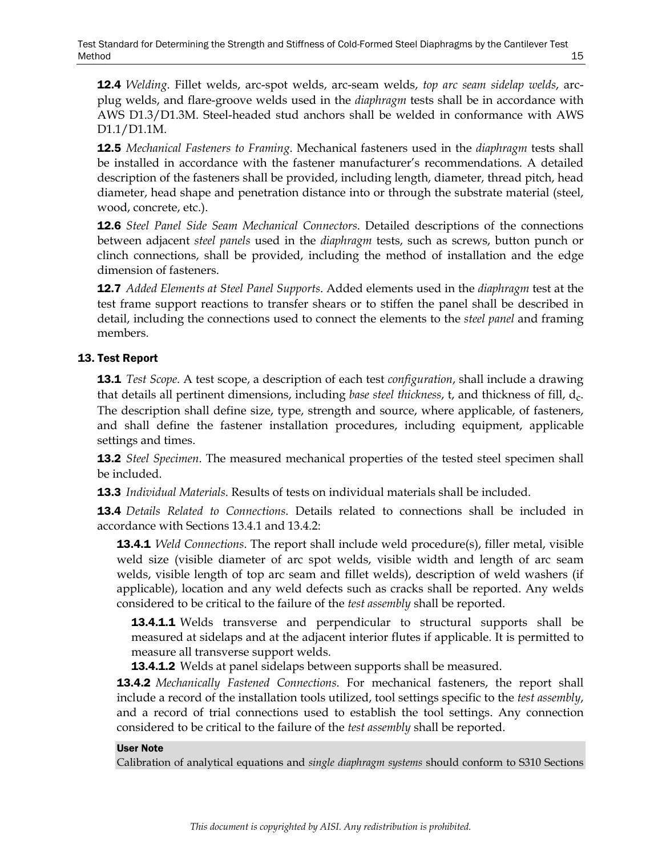12.4 *Welding*. Fillet welds, arc-spot welds, arc-seam welds, *top arc seam sidelap welds*, arcplug welds, and flare-groove welds used in the *diaphragm* tests shall be in accordance with AWS D1.3/D1.3M. Steel-headed stud anchors shall be welded in conformance with AWS D1.1/D1.1M.

12.5 *Mechanical Fasteners to Framing*. Mechanical fasteners used in the *diaphragm* tests shall be installed in accordance with the fastener manufacturer's recommendations. A detailed description of the fasteners shall be provided, including length, diameter, thread pitch, head diameter, head shape and penetration distance into or through the substrate material (steel, wood, concrete, etc.).

12.6 *Steel Panel Side Seam Mechanical Connectors*. Detailed descriptions of the connections between adjacent *steel panels* used in the *diaphragm* tests, such as screws, button punch or clinch connections, shall be provided, including the method of installation and the edge dimension of fasteners.

12.7 *Added Elements at Steel Panel Supports*. Added elements used in the *diaphragm* test at the test frame support reactions to transfer shears or to stiffen the panel shall be described in detail, including the connections used to connect the elements to the *steel panel* and framing members.

## 13. Test Report

13.1 *Test Scope*. A test scope, a description of each test *configuration*, shall include a drawing that details all pertinent dimensions, including *base steel thickness*, t, and thickness of fill, d<sub>c</sub>. The description shall define size, type, strength and source, where applicable, of fasteners, and shall define the fastener installation procedures, including equipment, applicable settings and times.

13.2 *Steel Specimen*. The measured mechanical properties of the tested steel specimen shall be included.

13.3 *Individual Materials*. Results of tests on individual materials shall be included.

13.4 *Details Related to Connections*. Details related to connections shall be included in accordance with Sections 13.4.1 and 13.4.2:

13.4.1 *Weld Connections*. The report shall include weld procedure(s), filler metal, visible weld size (visible diameter of arc spot welds, visible width and length of arc seam welds, visible length of top arc seam and fillet welds), description of weld washers (if applicable), location and any weld defects such as cracks shall be reported. Any welds considered to be critical to the failure of the *test assembly* shall be reported.

13.4.1.1 Welds transverse and perpendicular to structural supports shall be measured at sidelaps and at the adjacent interior flutes if applicable. It is permitted to measure all transverse support welds.

**13.4.1.2** Welds at panel sidelaps between supports shall be measured.

13.4.2 *Mechanically Fastened Connections*. For mechanical fasteners, the report shall include a record of the installation tools utilized, tool settings specific to the *test assembly*, and a record of trial connections used to establish the tool settings. Any connection considered to be critical to the failure of the *test assembly* shall be reported.

## User Note

Calibration of analytical equations and *single diaphragm systems* should conform to S310 Sections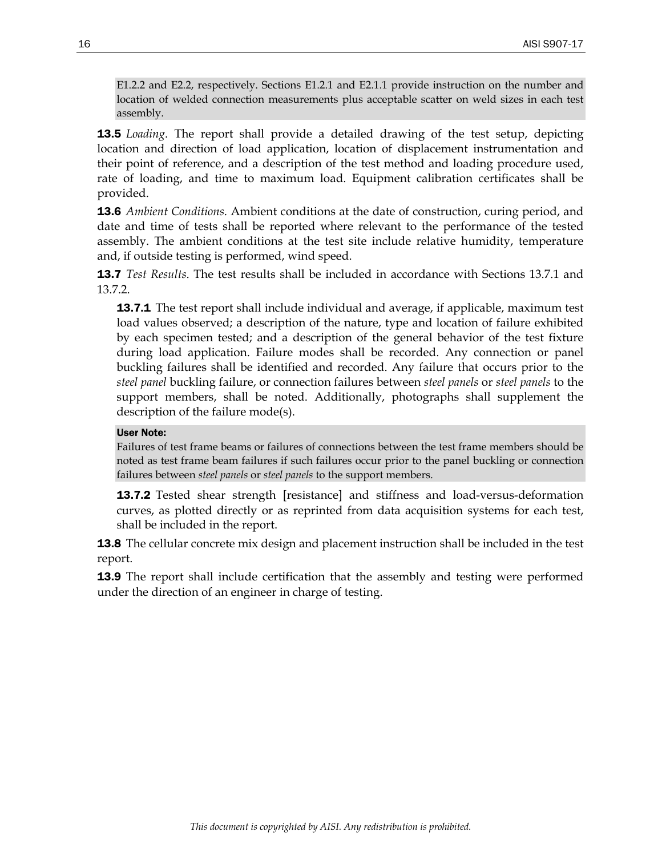E1.2.2 and E2.2, respectively. Sections E1.2.1 and E2.1.1 provide instruction on the number and location of welded connection measurements plus acceptable scatter on weld sizes in each test assembly.

13.5 *Loading*. The report shall provide a detailed drawing of the test setup, depicting location and direction of load application, location of displacement instrumentation and their point of reference, and a description of the test method and loading procedure used, rate of loading, and time to maximum load. Equipment calibration certificates shall be provided.

13.6 *Ambient Conditions*. Ambient conditions at the date of construction, curing period, and date and time of tests shall be reported where relevant to the performance of the tested assembly. The ambient conditions at the test site include relative humidity, temperature and, if outside testing is performed, wind speed.

13.7 *Test Results*. The test results shall be included in accordance with Sections 13.7.1 and 13.7.2.

**13.7.1** The test report shall include individual and average, if applicable, maximum test load values observed; a description of the nature, type and location of failure exhibited by each specimen tested; and a description of the general behavior of the test fixture during load application. Failure modes shall be recorded. Any connection or panel buckling failures shall be identified and recorded. Any failure that occurs prior to the *steel panel* buckling failure, or connection failures between *steel panels* or *steel panels* to the support members, shall be noted. Additionally, photographs shall supplement the description of the failure mode(s).

#### User Note:

Failures of test frame beams or failures of connections between the test frame members should be noted as test frame beam failures if such failures occur prior to the panel buckling or connection failures between *steel panels* or *steel panels* to the support members.

**13.7.2** Tested shear strength [resistance] and stiffness and load-versus-deformation curves, as plotted directly or as reprinted from data acquisition systems for each test, shall be included in the report.

**13.8** The cellular concrete mix design and placement instruction shall be included in the test report.

**13.9** The report shall include certification that the assembly and testing were performed under the direction of an engineer in charge of testing.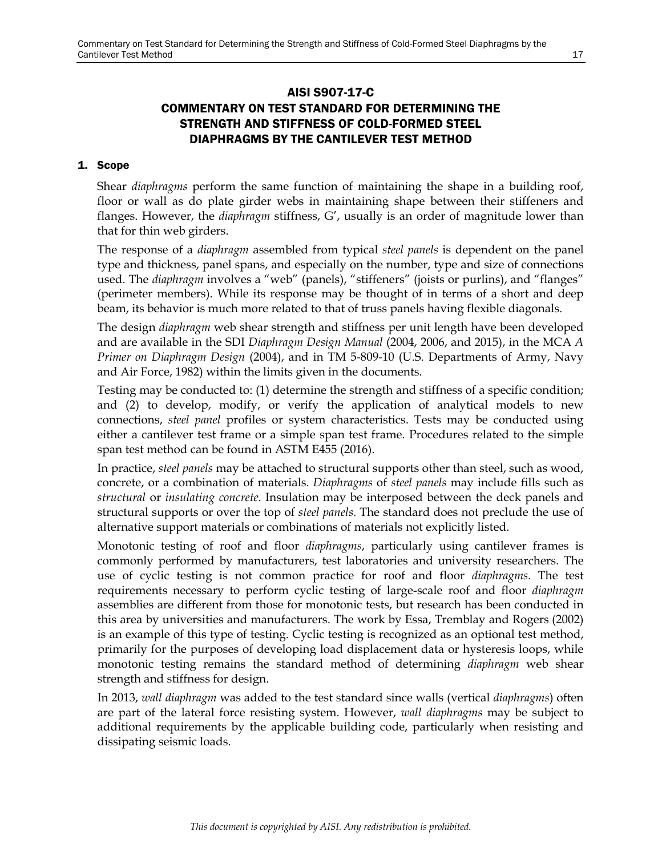## AISI S907-17-C COMMENTARY ON TEST STANDARD FOR DETERMINING THE STRENGTH AND STIFFNESS OF COLD-FORMED STEEL DIAPHRAGMS BY THE CANTILEVER TEST METHOD

#### 1. Scope

Shear *diaphragms* perform the same function of maintaining the shape in a building roof, floor or wall as do plate girder webs in maintaining shape between their stiffeners and flanges. However, the *diaphragm* stiffness, G', usually is an order of magnitude lower than that for thin web girders.

The response of a *diaphragm* assembled from typical *steel panels* is dependent on the panel type and thickness, panel spans, and especially on the number, type and size of connections used. The *diaphragm* involves a "web" (panels), "stiffeners" (joists or purlins), and "flanges" (perimeter members). While its response may be thought of in terms of a short and deep beam, its behavior is much more related to that of truss panels having flexible diagonals.

The design *diaphragm* web shear strength and stiffness per unit length have been developed and are available in the SDI *Diaphragm Design Manual* (2004, 2006, and 2015), in the MCA *A Primer on Diaphragm Design* (2004), and in TM 5-809-10 (U.S. Departments of Army, Navy and Air Force, 1982) within the limits given in the documents.

Testing may be conducted to: (1) determine the strength and stiffness of a specific condition; and (2) to develop, modify, or verify the application of analytical models to new connections, *steel panel* profiles or system characteristics. Tests may be conducted using either a cantilever test frame or a simple span test frame. Procedures related to the simple span test method can be found in ASTM E455 (2016).

In practice, *steel panels* may be attached to structural supports other than steel, such as wood, concrete, or a combination of materials. *Diaphragms* of *steel panels* may include fills such as *structural* or *insulating concrete*. Insulation may be interposed between the deck panels and structural supports or over the top of *steel panels*. The standard does not preclude the use of alternative support materials or combinations of materials not explicitly listed.

Monotonic testing of roof and floor *diaphragms*, particularly using cantilever frames is commonly performed by manufacturers, test laboratories and university researchers. The use of cyclic testing is not common practice for roof and floor *diaphragms*. The test requirements necessary to perform cyclic testing of large-scale roof and floor *diaphragm* assemblies are different from those for monotonic tests, but research has been conducted in this area by universities and manufacturers. The work by Essa, Tremblay and Rogers (2002) is an example of this type of testing. Cyclic testing is recognized as an optional test method, primarily for the purposes of developing load displacement data or hysteresis loops, while monotonic testing remains the standard method of determining *diaphragm* web shear strength and stiffness for design.

In 2013, *wall diaphragm* was added to the test standard since walls (vertical *diaphragms*) often are part of the lateral force resisting system. However, *wall diaphragms* may be subject to additional requirements by the applicable building code, particularly when resisting and dissipating seismic loads.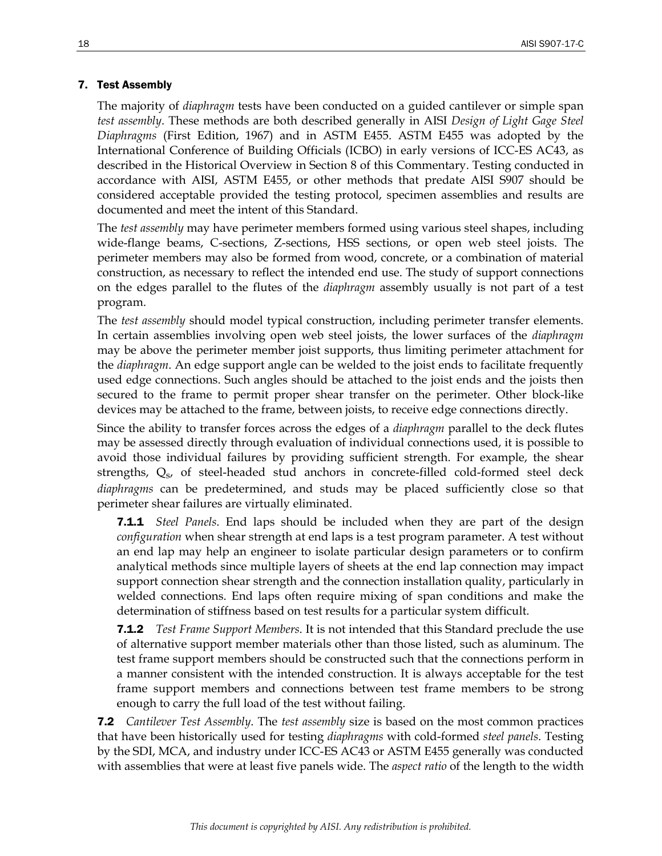## 7. Test Assembly

The majority of *diaphragm* tests have been conducted on a guided cantilever or simple span *test assembly*. These methods are both described generally in AISI *Design of Light Gage Steel Diaphragms* (First Edition, 1967) and in ASTM E455. ASTM E455 was adopted by the International Conference of Building Officials (ICBO) in early versions of ICC-ES AC43, as described in the Historical Overview in Section 8 of this Commentary. Testing conducted in accordance with AISI, ASTM E455, or other methods that predate AISI S907 should be considered acceptable provided the testing protocol, specimen assemblies and results are documented and meet the intent of this Standard.

The *test assembly* may have perimeter members formed using various steel shapes, including wide-flange beams, C-sections, Z-sections, HSS sections, or open web steel joists. The perimeter members may also be formed from wood, concrete, or a combination of material construction, as necessary to reflect the intended end use. The study of support connections on the edges parallel to the flutes of the *diaphragm* assembly usually is not part of a test program.

The *test assembly* should model typical construction, including perimeter transfer elements. In certain assemblies involving open web steel joists, the lower surfaces of the *diaphragm* may be above the perimeter member joist supports, thus limiting perimeter attachment for the *diaphragm*. An edge support angle can be welded to the joist ends to facilitate frequently used edge connections. Such angles should be attached to the joist ends and the joists then secured to the frame to permit proper shear transfer on the perimeter. Other block-like devices may be attached to the frame, between joists, to receive edge connections directly.

Since the ability to transfer forces across the edges of a *diaphragm* parallel to the deck flutes may be assessed directly through evaluation of individual connections used, it is possible to avoid those individual failures by providing sufficient strength. For example, the shear strengths,  $Q_{s}$ , of steel-headed stud anchors in concrete-filled cold-formed steel deck *diaphragms* can be predetermined, and studs may be placed sufficiently close so that perimeter shear failures are virtually eliminated.

7.1.1 *Steel Panels*. End laps should be included when they are part of the design *configuration* when shear strength at end laps is a test program parameter. A test without an end lap may help an engineer to isolate particular design parameters or to confirm analytical methods since multiple layers of sheets at the end lap connection may impact support connection shear strength and the connection installation quality, particularly in welded connections. End laps often require mixing of span conditions and make the determination of stiffness based on test results for a particular system difficult.

7.1.2 *Test Frame Support Members*. It is not intended that this Standard preclude the use of alternative support member materials other than those listed, such as aluminum. The test frame support members should be constructed such that the connections perform in a manner consistent with the intended construction. It is always acceptable for the test frame support members and connections between test frame members to be strong enough to carry the full load of the test without failing.

7.2 *Cantilever Test Assembly*. The *test assembly* size is based on the most common practices that have been historically used for testing *diaphragms* with cold-formed *steel panels*. Testing by the SDI, MCA, and industry under ICC-ES AC43 or ASTM E455 generally was conducted with assemblies that were at least five panels wide. The *aspect ratio* of the length to the width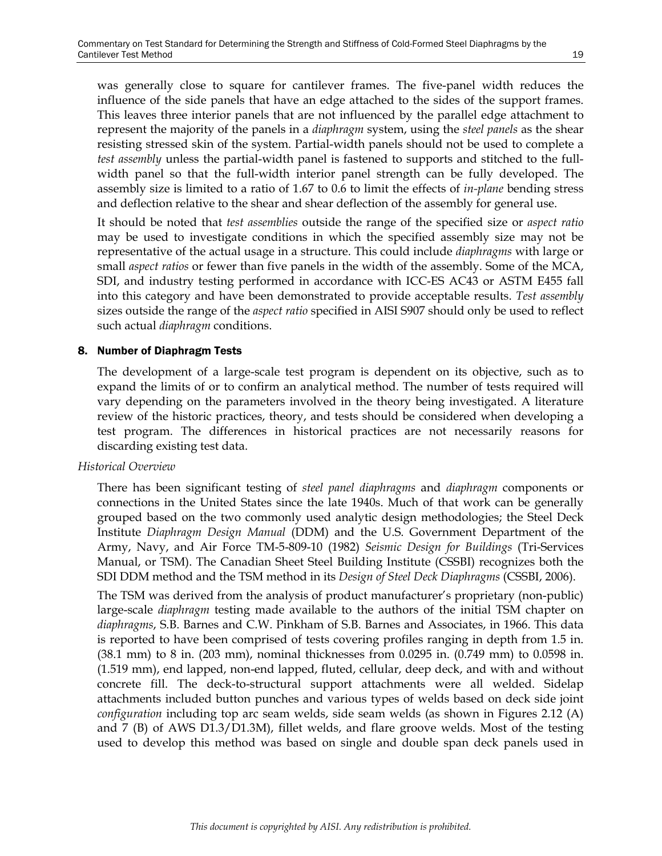was generally close to square for cantilever frames. The five-panel width reduces the influence of the side panels that have an edge attached to the sides of the support frames. This leaves three interior panels that are not influenced by the parallel edge attachment to represent the majority of the panels in a *diaphragm* system, using the *steel panels* as the shear resisting stressed skin of the system. Partial-width panels should not be used to complete a *test assembly* unless the partial-width panel is fastened to supports and stitched to the fullwidth panel so that the full-width interior panel strength can be fully developed. The assembly size is limited to a ratio of 1.67 to 0.6 to limit the effects of *in-plane* bending stress and deflection relative to the shear and shear deflection of the assembly for general use.

It should be noted that *test assemblies* outside the range of the specified size or *aspect ratio* may be used to investigate conditions in which the specified assembly size may not be representative of the actual usage in a structure. This could include *diaphragms* with large or small *aspect ratios* or fewer than five panels in the width of the assembly. Some of the MCA, SDI, and industry testing performed in accordance with ICC-ES AC43 or ASTM E455 fall into this category and have been demonstrated to provide acceptable results. *Test assembly* sizes outside the range of the *aspect ratio* specified in AISI S907 should only be used to reflect such actual *diaphragm* conditions.

## 8. Number of Diaphragm Tests

The development of a large-scale test program is dependent on its objective, such as to expand the limits of or to confirm an analytical method. The number of tests required will vary depending on the parameters involved in the theory being investigated. A literature review of the historic practices, theory, and tests should be considered when developing a test program. The differences in historical practices are not necessarily reasons for discarding existing test data.

## *Historical Overview*

There has been significant testing of *steel panel diaphragms* and *diaphragm* components or connections in the United States since the late 1940s. Much of that work can be generally grouped based on the two commonly used analytic design methodologies; the Steel Deck Institute *Diaphragm Design Manual* (DDM) and the U.S. Government Department of the Army, Navy, and Air Force TM-5-809-10 (1982) *Seismic Design for Buildings* (Tri-Services Manual, or TSM). The Canadian Sheet Steel Building Institute (CSSBI) recognizes both the SDI DDM method and the TSM method in its *Design of Steel Deck Diaphragms* (CSSBI, 2006).

The TSM was derived from the analysis of product manufacturer's proprietary (non-public) large-scale *diaphragm* testing made available to the authors of the initial TSM chapter on *diaphragms*, S.B. Barnes and C.W. Pinkham of S.B. Barnes and Associates, in 1966. This data is reported to have been comprised of tests covering profiles ranging in depth from 1.5 in. (38.1 mm) to 8 in. (203 mm), nominal thicknesses from 0.0295 in. (0.749 mm) to 0.0598 in. (1.519 mm), end lapped, non-end lapped, fluted, cellular, deep deck, and with and without concrete fill. The deck-to-structural support attachments were all welded. Sidelap attachments included button punches and various types of welds based on deck side joint *configuration* including top arc seam welds, side seam welds (as shown in Figures 2.12 (A) and 7 (B) of AWS D1.3/D1.3M), fillet welds, and flare groove welds. Most of the testing used to develop this method was based on single and double span deck panels used in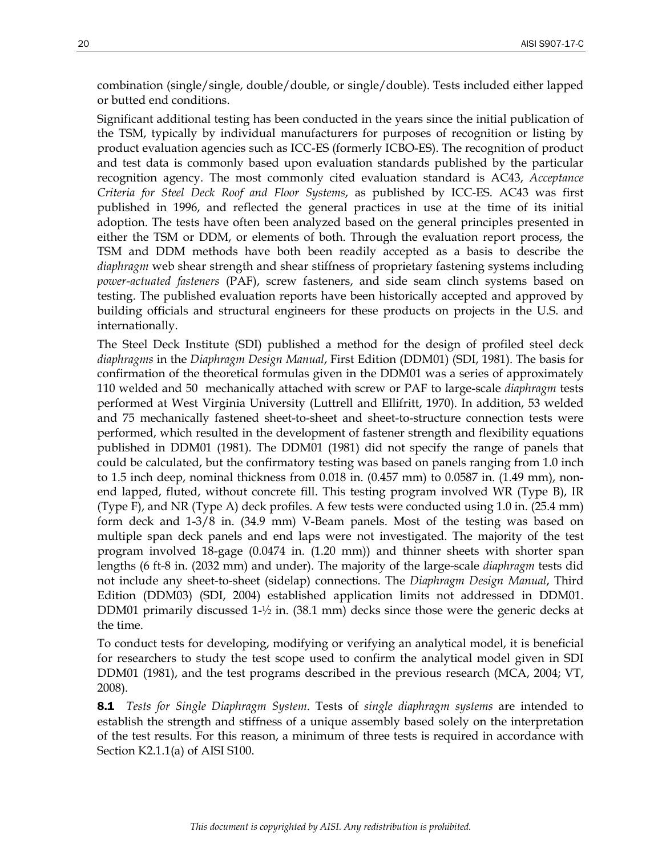combination (single/single, double/double, or single/double). Tests included either lapped or butted end conditions.

Significant additional testing has been conducted in the years since the initial publication of the TSM, typically by individual manufacturers for purposes of recognition or listing by product evaluation agencies such as ICC-ES (formerly ICBO-ES). The recognition of product and test data is commonly based upon evaluation standards published by the particular recognition agency. The most commonly cited evaluation standard is AC43, *Acceptance Criteria for Steel Deck Roof and Floor Systems*, as published by ICC-ES. AC43 was first published in 1996, and reflected the general practices in use at the time of its initial adoption. The tests have often been analyzed based on the general principles presented in either the TSM or DDM, or elements of both. Through the evaluation report process, the TSM and DDM methods have both been readily accepted as a basis to describe the *diaphragm* web shear strength and shear stiffness of proprietary fastening systems including *power-actuated fasteners* (PAF), screw fasteners, and side seam clinch systems based on testing. The published evaluation reports have been historically accepted and approved by building officials and structural engineers for these products on projects in the U.S. and internationally.

The Steel Deck Institute (SDI) published a method for the design of profiled steel deck *diaphragms* in the *Diaphragm Design Manual*, First Edition (DDM01) (SDI, 1981). The basis for confirmation of the theoretical formulas given in the DDM01 was a series of approximately 110 welded and 50 mechanically attached with screw or PAF to large-scale *diaphragm* tests performed at West Virginia University (Luttrell and Ellifritt, 1970). In addition, 53 welded and 75 mechanically fastened sheet-to-sheet and sheet-to-structure connection tests were performed, which resulted in the development of fastener strength and flexibility equations published in DDM01 (1981). The DDM01 (1981) did not specify the range of panels that could be calculated, but the confirmatory testing was based on panels ranging from 1.0 inch to 1.5 inch deep, nominal thickness from 0.018 in. (0.457 mm) to 0.0587 in. (1.49 mm), nonend lapped, fluted, without concrete fill. This testing program involved WR (Type B), IR (Type F), and NR (Type A) deck profiles. A few tests were conducted using 1.0 in. (25.4 mm) form deck and 1-3/8 in. (34.9 mm) V-Beam panels. Most of the testing was based on multiple span deck panels and end laps were not investigated. The majority of the test program involved 18-gage (0.0474 in. (1.20 mm)) and thinner sheets with shorter span lengths (6 ft-8 in. (2032 mm) and under). The majority of the large-scale *diaphragm* tests did not include any sheet-to-sheet (sidelap) connections. The *Diaphragm Design Manual*, Third Edition (DDM03) (SDI, 2004) established application limits not addressed in DDM01. DDM01 primarily discussed 1-½ in. (38.1 mm) decks since those were the generic decks at the time.

To conduct tests for developing, modifying or verifying an analytical model, it is beneficial for researchers to study the test scope used to confirm the analytical model given in SDI DDM01 (1981), and the test programs described in the previous research (MCA, 2004; VT, 2008).

8.1 *Tests for Single Diaphragm System*. Tests of *single diaphragm systems* are intended to establish the strength and stiffness of a unique assembly based solely on the interpretation of the test results. For this reason, a minimum of three tests is required in accordance with Section K2.1.1(a) of AISI S100.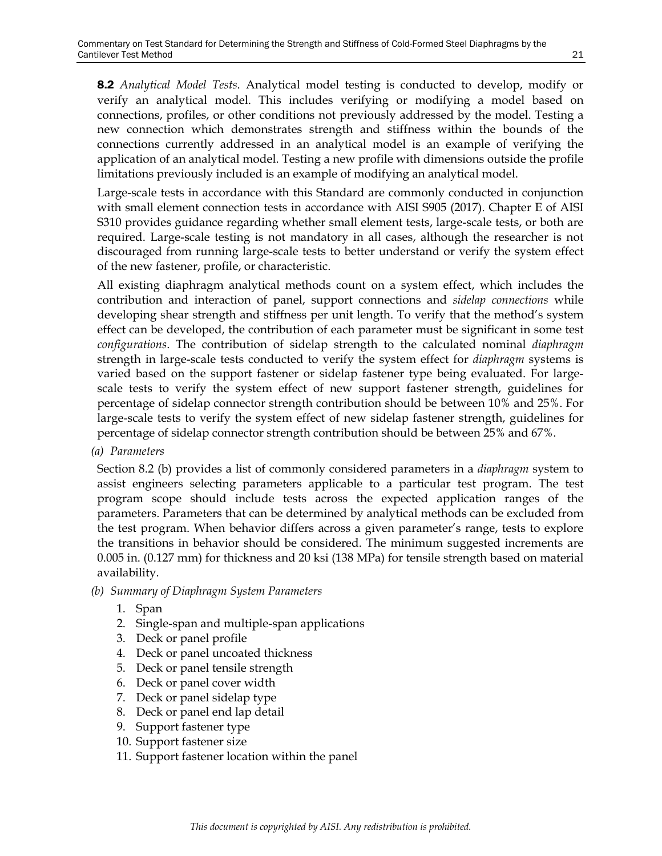8.2 *Analytical Model Tests*. Analytical model testing is conducted to develop, modify or verify an analytical model. This includes verifying or modifying a model based on connections, profiles, or other conditions not previously addressed by the model. Testing a new connection which demonstrates strength and stiffness within the bounds of the connections currently addressed in an analytical model is an example of verifying the application of an analytical model. Testing a new profile with dimensions outside the profile limitations previously included is an example of modifying an analytical model.

Large-scale tests in accordance with this Standard are commonly conducted in conjunction with small element connection tests in accordance with AISI S905 (2017). Chapter E of AISI S310 provides guidance regarding whether small element tests, large-scale tests, or both are required. Large-scale testing is not mandatory in all cases, although the researcher is not discouraged from running large-scale tests to better understand or verify the system effect of the new fastener, profile, or characteristic.

All existing diaphragm analytical methods count on a system effect, which includes the contribution and interaction of panel, support connections and *sidelap connections* while developing shear strength and stiffness per unit length. To verify that the method's system effect can be developed, the contribution of each parameter must be significant in some test *configurations*. The contribution of sidelap strength to the calculated nominal *diaphragm* strength in large-scale tests conducted to verify the system effect for *diaphragm* systems is varied based on the support fastener or sidelap fastener type being evaluated. For largescale tests to verify the system effect of new support fastener strength, guidelines for percentage of sidelap connector strength contribution should be between 10% and 25%. For large-scale tests to verify the system effect of new sidelap fastener strength, guidelines for percentage of sidelap connector strength contribution should be between 25% and 67%.

*(a) Parameters* 

Section 8.2 (b) provides a list of commonly considered parameters in a *diaphragm* system to assist engineers selecting parameters applicable to a particular test program. The test program scope should include tests across the expected application ranges of the parameters. Parameters that can be determined by analytical methods can be excluded from the test program. When behavior differs across a given parameter's range, tests to explore the transitions in behavior should be considered. The minimum suggested increments are 0.005 in. (0.127 mm) for thickness and 20 ksi (138 MPa) for tensile strength based on material availability.

- *(b) Summary of Diaphragm System Parameters*
	- 1. Span
	- 2. Single-span and multiple-span applications
	- 3. Deck or panel profile
	- 4. Deck or panel uncoated thickness
	- 5. Deck or panel tensile strength
	- 6. Deck or panel cover width
	- 7. Deck or panel sidelap type
	- 8. Deck or panel end lap detail
	- 9. Support fastener type
	- 10. Support fastener size
	- 11. Support fastener location within the panel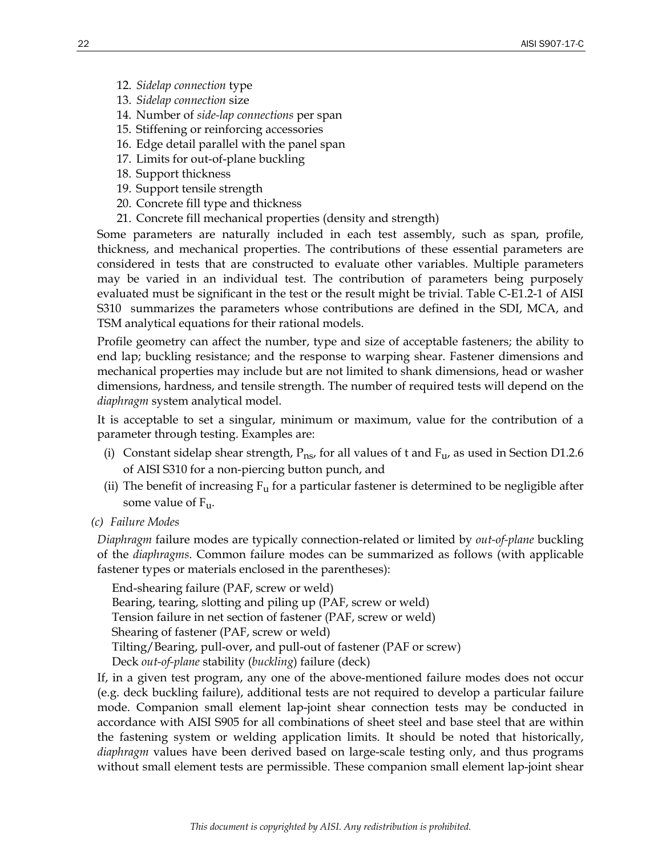- 12. *Sidelap connection* type
- 13. *Sidelap connection* size
- 14. Number of *side-lap connections* per span
- 15. Stiffening or reinforcing accessories
- 16. Edge detail parallel with the panel span
- 17. Limits for out-of-plane buckling
- 18. Support thickness
- 19. Support tensile strength
- 20. Concrete fill type and thickness
- 21. Concrete fill mechanical properties (density and strength)

Some parameters are naturally included in each test assembly, such as span, profile, thickness, and mechanical properties. The contributions of these essential parameters are considered in tests that are constructed to evaluate other variables. Multiple parameters may be varied in an individual test. The contribution of parameters being purposely evaluated must be significant in the test or the result might be trivial. Table C-E1.2-1 of AISI S310 summarizes the parameters whose contributions are defined in the SDI, MCA, and TSM analytical equations for their rational models.

Profile geometry can affect the number, type and size of acceptable fasteners; the ability to end lap; buckling resistance; and the response to warping shear. Fastener dimensions and mechanical properties may include but are not limited to shank dimensions, head or washer dimensions, hardness, and tensile strength. The number of required tests will depend on the *diaphragm* system analytical model.

It is acceptable to set a singular, minimum or maximum, value for the contribution of a parameter through testing. Examples are:

- (i) Constant sidelap shear strength,  $P_{\text{ns}}$ , for all values of t and  $F_{\text{u}}$ , as used in Section D1.2.6 of AISI S310 for a non-piercing button punch, and
- (ii) The benefit of increasing  $F_u$  for a particular fastener is determined to be negligible after some value of  $F_u$ .
- *(c) Failure Modes*

*Diaphragm* failure modes are typically connection-related or limited by *out-of-plane* buckling of the *diaphragms*. Common failure modes can be summarized as follows (with applicable fastener types or materials enclosed in the parentheses):

End-shearing failure (PAF, screw or weld) Bearing, tearing, slotting and piling up (PAF, screw or weld) Tension failure in net section of fastener (PAF, screw or weld) Shearing of fastener (PAF, screw or weld) Tilting/Bearing, pull-over, and pull-out of fastener (PAF or screw) Deck *out-of-plane* stability (*buckling*) failure (deck)

If, in a given test program, any one of the above-mentioned failure modes does not occur (e.g. deck buckling failure), additional tests are not required to develop a particular failure mode. Companion small element lap-joint shear connection tests may be conducted in accordance with AISI S905 for all combinations of sheet steel and base steel that are within the fastening system or welding application limits. It should be noted that historically, *diaphragm* values have been derived based on large-scale testing only, and thus programs without small element tests are permissible. These companion small element lap-joint shear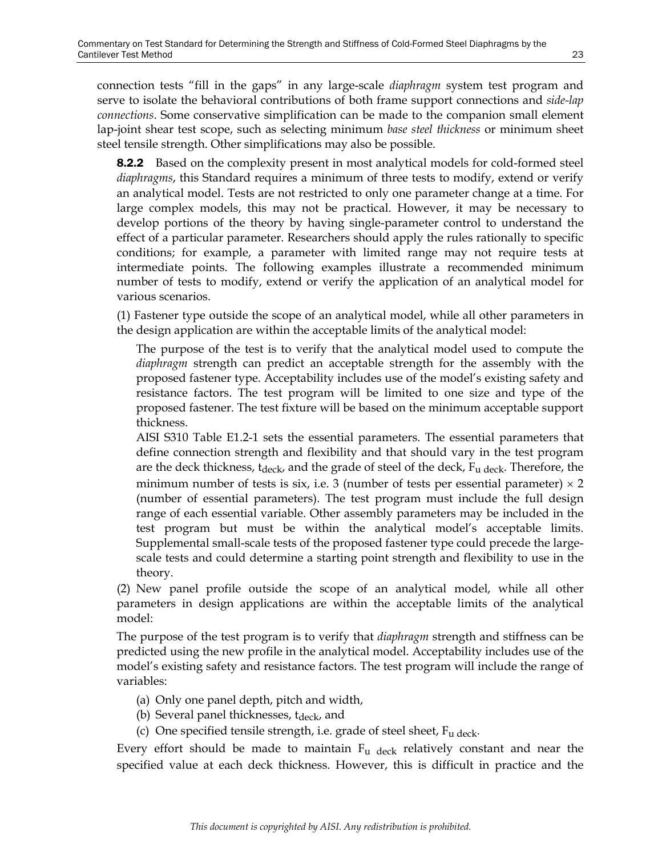connection tests "fill in the gaps" in any large-scale *diaphragm* system test program and serve to isolate the behavioral contributions of both frame support connections and *side-lap connections*. Some conservative simplification can be made to the companion small element lap-joint shear test scope, such as selecting minimum *base steel thickness* or minimum sheet steel tensile strength. Other simplifications may also be possible.

**8.2.2** Based on the complexity present in most analytical models for cold-formed steel *diaphragms*, this Standard requires a minimum of three tests to modify, extend or verify an analytical model. Tests are not restricted to only one parameter change at a time. For large complex models, this may not be practical. However, it may be necessary to develop portions of the theory by having single-parameter control to understand the effect of a particular parameter. Researchers should apply the rules rationally to specific conditions; for example, a parameter with limited range may not require tests at intermediate points. The following examples illustrate a recommended minimum number of tests to modify, extend or verify the application of an analytical model for various scenarios.

(1) Fastener type outside the scope of an analytical model, while all other parameters in the design application are within the acceptable limits of the analytical model:

The purpose of the test is to verify that the analytical model used to compute the *diaphragm* strength can predict an acceptable strength for the assembly with the proposed fastener type. Acceptability includes use of the model's existing safety and resistance factors. The test program will be limited to one size and type of the proposed fastener. The test fixture will be based on the minimum acceptable support thickness.

AISI S310 Table E1.2-1 sets the essential parameters. The essential parameters that define connection strength and flexibility and that should vary in the test program are the deck thickness,  $t_{\text{deck}}$ , and the grade of steel of the deck,  $F_u$  <sub>deck</sub>. Therefore, the minimum number of tests is six, i.e. 3 (number of tests per essential parameter)  $\times$  2 (number of essential parameters). The test program must include the full design range of each essential variable. Other assembly parameters may be included in the test program but must be within the analytical model's acceptable limits. Supplemental small-scale tests of the proposed fastener type could precede the largescale tests and could determine a starting point strength and flexibility to use in the theory.

(2) New panel profile outside the scope of an analytical model, while all other parameters in design applications are within the acceptable limits of the analytical model:

The purpose of the test program is to verify that *diaphragm* strength and stiffness can be predicted using the new profile in the analytical model. Acceptability includes use of the model's existing safety and resistance factors. The test program will include the range of variables:

- (a) Only one panel depth, pitch and width,
- (b) Several panel thicknesses,  $t_{\text{deck}}$ , and
- (c) One specified tensile strength, i.e. grade of steel sheet,  $F_u$  deck.

Every effort should be made to maintain  $F_u$  deck relatively constant and near the specified value at each deck thickness. However, this is difficult in practice and the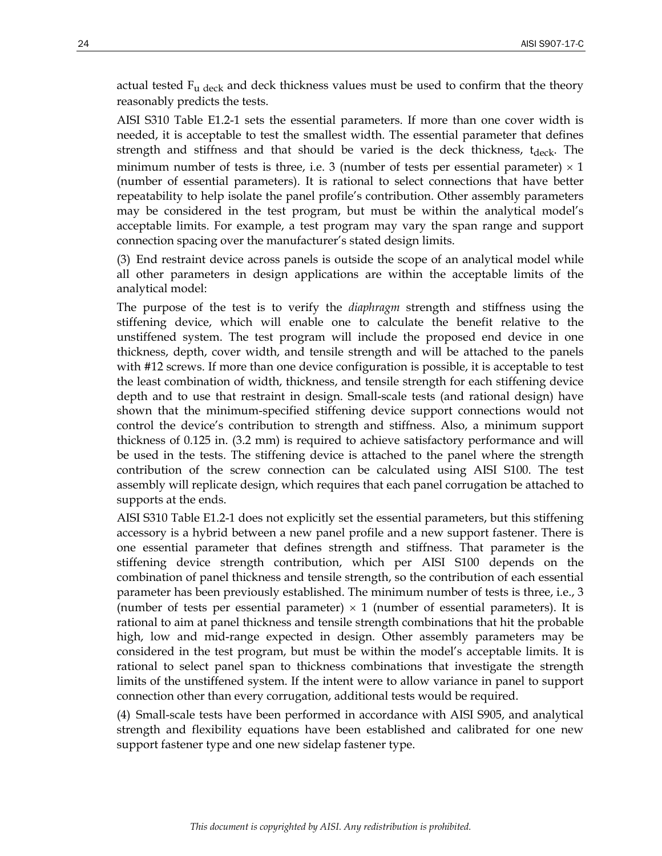actual tested  $F_u$  deck and deck thickness values must be used to confirm that the theory reasonably predicts the tests.

AISI S310 Table E1.2-1 sets the essential parameters. If more than one cover width is needed, it is acceptable to test the smallest width. The essential parameter that defines strength and stiffness and that should be varied is the deck thickness,  $t_{\text{deck}}$ . The minimum number of tests is three, i.e. 3 (number of tests per essential parameter)  $\times$  1 (number of essential parameters). It is rational to select connections that have better repeatability to help isolate the panel profile's contribution. Other assembly parameters may be considered in the test program, but must be within the analytical model's acceptable limits. For example, a test program may vary the span range and support connection spacing over the manufacturer's stated design limits.

(3) End restraint device across panels is outside the scope of an analytical model while all other parameters in design applications are within the acceptable limits of the analytical model:

The purpose of the test is to verify the *diaphragm* strength and stiffness using the stiffening device, which will enable one to calculate the benefit relative to the unstiffened system. The test program will include the proposed end device in one thickness, depth, cover width, and tensile strength and will be attached to the panels with #12 screws. If more than one device configuration is possible, it is acceptable to test the least combination of width, thickness, and tensile strength for each stiffening device depth and to use that restraint in design. Small-scale tests (and rational design) have shown that the minimum-specified stiffening device support connections would not control the device's contribution to strength and stiffness. Also, a minimum support thickness of 0.125 in. (3.2 mm) is required to achieve satisfactory performance and will be used in the tests. The stiffening device is attached to the panel where the strength contribution of the screw connection can be calculated using AISI S100. The test assembly will replicate design, which requires that each panel corrugation be attached to supports at the ends.

AISI S310 Table E1.2-1 does not explicitly set the essential parameters, but this stiffening accessory is a hybrid between a new panel profile and a new support fastener. There is one essential parameter that defines strength and stiffness. That parameter is the stiffening device strength contribution, which per AISI S100 depends on the combination of panel thickness and tensile strength, so the contribution of each essential parameter has been previously established. The minimum number of tests is three, i.e., 3 (number of tests per essential parameter)  $\times$  1 (number of essential parameters). It is rational to aim at panel thickness and tensile strength combinations that hit the probable high, low and mid-range expected in design. Other assembly parameters may be considered in the test program, but must be within the model's acceptable limits. It is rational to select panel span to thickness combinations that investigate the strength limits of the unstiffened system. If the intent were to allow variance in panel to support connection other than every corrugation, additional tests would be required.

(4) Small-scale tests have been performed in accordance with AISI S905, and analytical strength and flexibility equations have been established and calibrated for one new support fastener type and one new sidelap fastener type.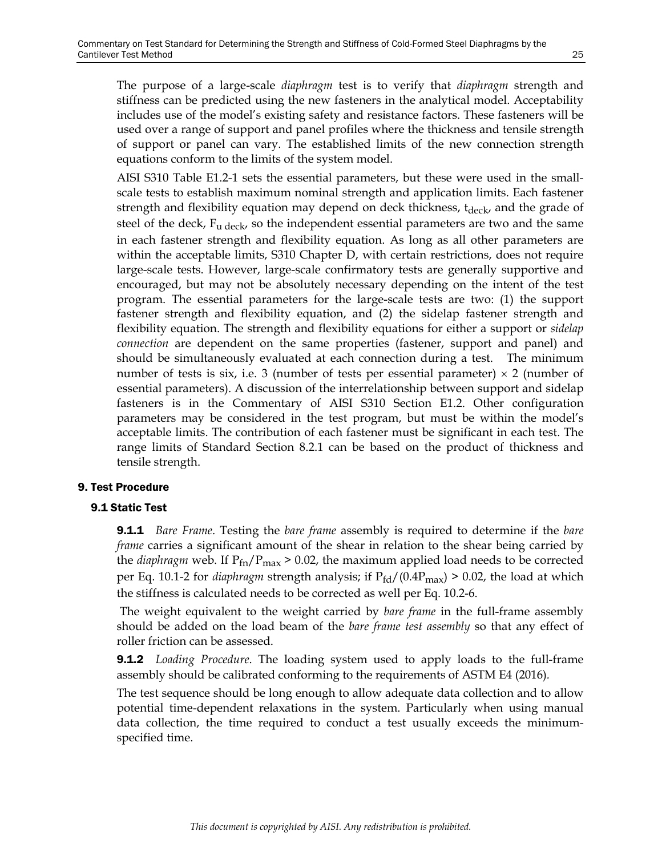The purpose of a large-scale *diaphragm* test is to verify that *diaphragm* strength and stiffness can be predicted using the new fasteners in the analytical model. Acceptability includes use of the model's existing safety and resistance factors. These fasteners will be used over a range of support and panel profiles where the thickness and tensile strength of support or panel can vary. The established limits of the new connection strength equations conform to the limits of the system model.

AISI S310 Table E1.2-1 sets the essential parameters, but these were used in the smallscale tests to establish maximum nominal strength and application limits. Each fastener strength and flexibility equation may depend on deck thickness, t<sub>deck</sub>, and the grade of steel of the deck,  $F_u$  deck, so the independent essential parameters are two and the same in each fastener strength and flexibility equation. As long as all other parameters are within the acceptable limits, S310 Chapter D, with certain restrictions, does not require large-scale tests. However, large-scale confirmatory tests are generally supportive and encouraged, but may not be absolutely necessary depending on the intent of the test program. The essential parameters for the large-scale tests are two: (1) the support fastener strength and flexibility equation, and (2) the sidelap fastener strength and flexibility equation. The strength and flexibility equations for either a support or *sidelap connection* are dependent on the same properties (fastener, support and panel) and should be simultaneously evaluated at each connection during a test. The minimum number of tests is six, i.e. 3 (number of tests per essential parameter)  $\times$  2 (number of essential parameters). A discussion of the interrelationship between support and sidelap fasteners is in the Commentary of AISI S310 Section E1.2. Other configuration parameters may be considered in the test program, but must be within the model's acceptable limits. The contribution of each fastener must be significant in each test. The range limits of Standard Section 8.2.1 can be based on the product of thickness and tensile strength.

## 9. Test Procedure

## 9.1 Static Test

9.1.1 *Bare Frame*. Testing the *bare frame* assembly is required to determine if the *bare frame* carries a significant amount of the shear in relation to the shear being carried by the *diaphragm* web. If  $P_{fn}/P_{max} > 0.02$ , the maximum applied load needs to be corrected per Eq. 10.1-2 for *diaphragm* strength analysis; if  $P_{\text{fd}}/(0.4P_{\text{max}}) > 0.02$ , the load at which the stiffness is calculated needs to be corrected as well per Eq. 10.2-6.

The weight equivalent to the weight carried by *bare frame* in the full-frame assembly should be added on the load beam of the *bare frame test assembly* so that any effect of roller friction can be assessed.

9.1.2 *Loading Procedure*. The loading system used to apply loads to the full-frame assembly should be calibrated conforming to the requirements of ASTM E4 (2016)*.*

The test sequence should be long enough to allow adequate data collection and to allow potential time-dependent relaxations in the system. Particularly when using manual data collection, the time required to conduct a test usually exceeds the minimumspecified time.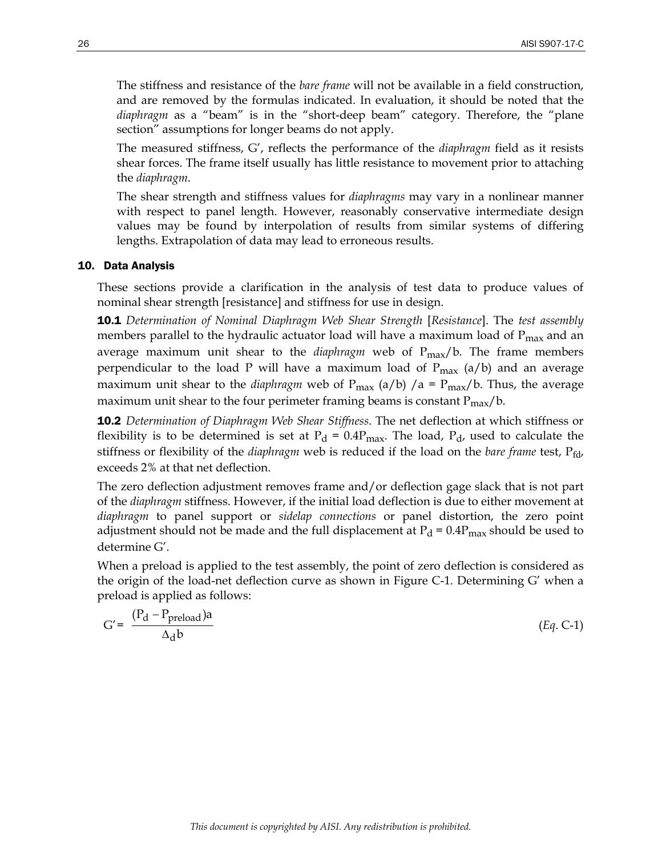The stiffness and resistance of the *bare frame* will not be available in a field construction, and are removed by the formulas indicated. In evaluation, it should be noted that the *diaphragm* as a "beam" is in the "short-deep beam" category. Therefore, the "plane section" assumptions for longer beams do not apply.

The measured stiffness, G', reflects the performance of the *diaphragm* field as it resists shear forces. The frame itself usually has little resistance to movement prior to attaching the *diaphragm*.

The shear strength and stiffness values for *diaphragms* may vary in a nonlinear manner with respect to panel length. However, reasonably conservative intermediate design values may be found by interpolation of results from similar systems of differing lengths. Extrapolation of data may lead to erroneous results.

#### 10. Data Analysis

These sections provide a clarification in the analysis of test data to produce values of nominal shear strength [resistance] and stiffness for use in design.

10.1 *Determination of Nominal Diaphragm Web Shear Strength* [*Resistance*]. The *test assembly* members parallel to the hydraulic actuator load will have a maximum load of  $P_{\text{max}}$  and an average maximum unit shear to the *diaphragm* web of P<sub>max</sub>/b. The frame members perpendicular to the load P will have a maximum load of  $P_{max}$  (a/b) and an average maximum unit shear to the *diaphragm* web of  $P_{\text{max}}$  (a/b) /a =  $P_{\text{max}}$ /b. Thus, the average maximum unit shear to the four perimeter framing beams is constant  $P_{max}/b$ .

10.2 *Determination of Diaphragm Web Shear Stiffness*. The net deflection at which stiffness or flexibility is to be determined is set at  $P_d = 0.4P_{max}$ . The load,  $P_d$ , used to calculate the stiffness or flexibility of the *diaphragm* web is reduced if the load on the *bare frame* test, Pfd, exceeds 2% at that net deflection.

The zero deflection adjustment removes frame and/or deflection gage slack that is not part of the *diaphragm* stiffness. However, if the initial load deflection is due to either movement at *diaphragm* to panel support or *sidelap connections* or panel distortion, the zero point adjustment should not be made and the full displacement at  $P_d = 0.4P_{max}$  should be used to determine G'.

When a preload is applied to the test assembly, the point of zero deflection is considered as the origin of the load-net deflection curve as shown in Figure C-1. Determining G' when a preload is applied as follows:

$$
G' = \frac{(P_d - P_{preload})a}{\Delta_d b}
$$
 (Eq. C-1)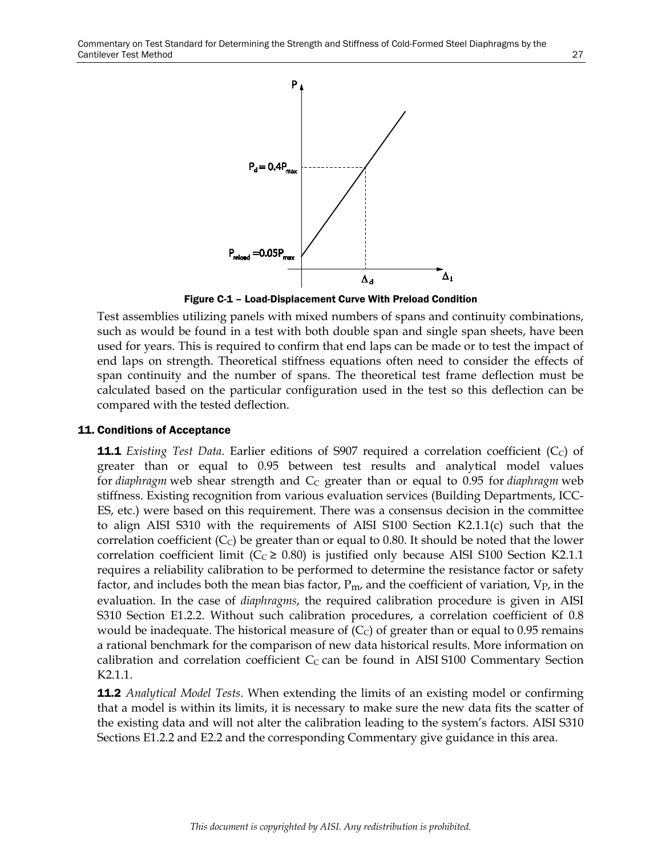

Figure C-1 – Load-Displacement Curve With Preload Condition

Test assemblies utilizing panels with mixed numbers of spans and continuity combinations, such as would be found in a test with both double span and single span sheets, have been used for years. This is required to confirm that end laps can be made or to test the impact of end laps on strength. Theoretical stiffness equations often need to consider the effects of span continuity and the number of spans. The theoretical test frame deflection must be calculated based on the particular configuration used in the test so this deflection can be compared with the tested deflection.

#### 11. Conditions of Acceptance

**11.1** *Existing Test Data*. Earlier editions of S907 required a correlation coefficient (C<sub>C</sub>) of greater than or equal to 0.95 between test results and analytical model values for *diaphragm* web shear strength and C<sub>C</sub> greater than or equal to 0.95 for *diaphragm* web stiffness. Existing recognition from various evaluation services (Building Departments, ICC-ES, etc.) were based on this requirement. There was a consensus decision in the committee to align AISI S310 with the requirements of AISI S100 Section K2.1.1(c) such that the correlation coefficient  $(C<sub>C</sub>)$  be greater than or equal to 0.80. It should be noted that the lower correlation coefficient limit ( $C_c \ge 0.80$ ) is justified only because AISI S100 Section K2.1.1 requires a reliability calibration to be performed to determine the resistance factor or safety factor, and includes both the mean bias factor,  $P_{m}$ , and the coefficient of variation,  $V_P$ , in the evaluation. In the case of *diaphragms*, the required calibration procedure is given in AISI S310 Section E1.2.2. Without such calibration procedures, a correlation coefficient of 0.8 would be inadequate. The historical measure of  $(C<sub>C</sub>)$  of greater than or equal to 0.95 remains a rational benchmark for the comparison of new data historical results. More information on calibration and correlation coefficient  $C<sub>C</sub>$  can be found in AISI S100 Commentary Section K2.1.1.

11.2 *Analytical Model Tests*. When extending the limits of an existing model or confirming that a model is within its limits, it is necessary to make sure the new data fits the scatter of the existing data and will not alter the calibration leading to the system's factors. AISI S310 Sections E1.2.2 and E2.2 and the corresponding Commentary give guidance in this area.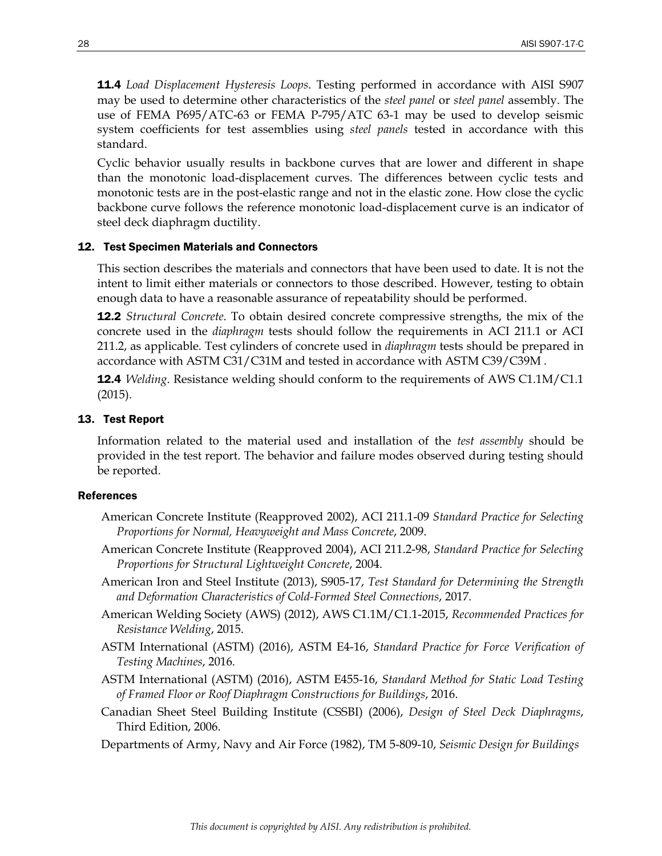11.4 *Load Displacement Hysteresis Loops*. Testing performed in accordance with AISI S907 may be used to determine other characteristics of the *steel panel* or *steel panel* assembly. The use of FEMA P695/ATC-63 or FEMA P-795/ATC 63-1 may be used to develop seismic system coefficients for test assemblies using *steel panels* tested in accordance with this standard.

Cyclic behavior usually results in backbone curves that are lower and different in shape than the monotonic load-displacement curves. The differences between cyclic tests and monotonic tests are in the post-elastic range and not in the elastic zone. How close the cyclic backbone curve follows the reference monotonic load-displacement curve is an indicator of steel deck diaphragm ductility.

#### 12. Test Specimen Materials and Connectors

This section describes the materials and connectors that have been used to date. It is not the intent to limit either materials or connectors to those described. However, testing to obtain enough data to have a reasonable assurance of repeatability should be performed.

12.2 *Structural Concrete*. To obtain desired concrete compressive strengths, the mix of the concrete used in the *diaphragm* tests should follow the requirements in ACI 211.1 or ACI 211.2, as applicable*.* Test cylinders of concrete used in *diaphragm* tests should be prepared in accordance with ASTM C31/C31M and tested in accordance with ASTM C39/C39M *.*

12.4 *Welding*. Resistance welding should conform to the requirements of AWS C1.1M/C1.1 (2015).

#### 13. Test Report

Information related to the material used and installation of the *test assembly* should be provided in the test report. The behavior and failure modes observed during testing should be reported.

#### References

- American Concrete Institute (Reapproved 2002), ACI 211.1-09 *Standard Practice for Selecting Proportions for Normal, Heavyweight and Mass Concrete*, 2009.
- American Concrete Institute (Reapproved 2004), ACI 211.2-98, *Standard Practice for Selecting Proportions for Structural Lightweight Concrete*, 2004.
- American Iron and Steel Institute (2013), S905-17, *Test Standard for Determining the Strength and Deformation Characteristics of Cold-Formed Steel Connections*, 2017*.*
- American Welding Society (AWS) (2012), AWS C1.1M/C1.1-2015, *Recommended Practices for Resistance Welding*, 2015.
- ASTM International (ASTM) (2016), ASTM E4-16, *Standard Practice for Force Verification of Testing Machines*, 2016.
- ASTM International (ASTM) (2016), ASTM E455-16, *Standard Method for Static Load Testing of Framed Floor or Roof Diaphragm Constructions for Buildings*, 2016.
- Canadian Sheet Steel Building Institute (CSSBI) (2006), *Design of Steel Deck Diaphragms*, Third Edition, 2006.
- Departments of Army, Navy and Air Force (1982), TM 5-809-10, *Seismic Design for Buildings*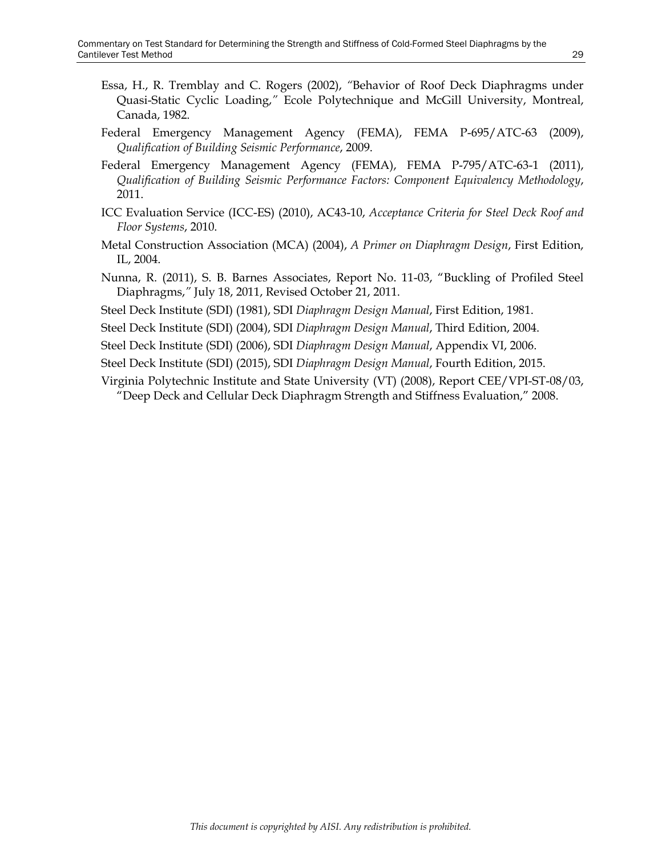- Essa, H., R. Tremblay and C. Rogers (2002), *"*Behavior of Roof Deck Diaphragms under Quasi-Static Cyclic Loading,*"* Ecole Polytechnique and McGill University, Montreal, Canada, 1982.
- Federal Emergency Management Agency (FEMA), FEMA P-695/ATC-63 (2009), *Qualification of Building Seismic Performance*, 2009.
- Federal Emergency Management Agency (FEMA), FEMA P-795/ATC-63-1 (2011), *Qualification of Building Seismic Performance Factors: Component Equivalency Methodology*, 2011.
- ICC Evaluation Service (ICC-ES) (2010), AC43-10, *Acceptance Criteria for Steel Deck Roof and Floor Systems*, 2010.
- Metal Construction Association (MCA) (2004), *A Primer on Diaphragm Design*, First Edition, IL, 2004.
- Nunna, R. (2011), S. B. Barnes Associates, Report No. 11-03, "Buckling of Profiled Steel Diaphragms,*"* July 18, 2011, Revised October 21, 2011.
- Steel Deck Institute (SDI) (1981), SDI *Diaphragm Design Manual*, First Edition, 1981.
- Steel Deck Institute (SDI) (2004), SDI *Diaphragm Design Manual*, Third Edition, 2004.
- Steel Deck Institute (SDI) (2006), SDI *Diaphragm Design Manual*, Appendix VI, 2006.
- Steel Deck Institute (SDI) (2015), SDI *Diaphragm Design Manual*, Fourth Edition, 2015.
- Virginia Polytechnic Institute and State University (VT) (2008), Report CEE/VPI-ST-08/03, "Deep Deck and Cellular Deck Diaphragm Strength and Stiffness Evaluation," 2008.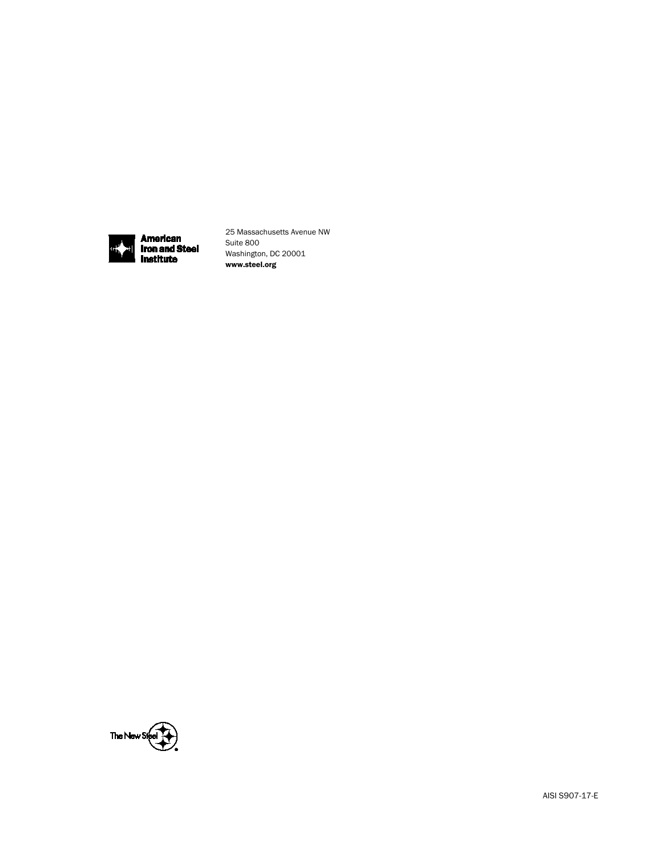

**American<br>Iron and Steel<br>Institute** 

25 Massachusetts Avenue NW Suite 800 Washington, DC 20001 www.steel.org